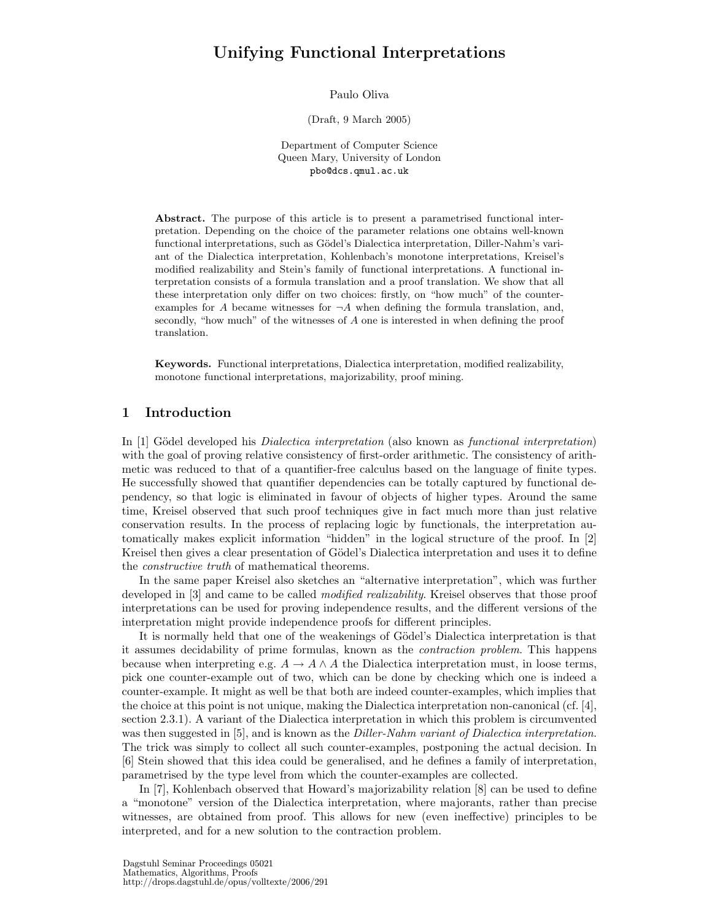# Unifying Functional Interpretations

Paulo Oliva

(Draft, 9 March 2005)

Department of Computer Science Queen Mary, University of London pbo@dcs.qmul.ac.uk

Abstract. The purpose of this article is to present a parametrised functional interpretation. Depending on the choice of the parameter relations one obtains well-known functional interpretations, such as Gödel's Dialectica interpretation, Diller-Nahm's variant of the Dialectica interpretation, Kohlenbach's monotone interpretations, Kreisel's modified realizability and Stein's family of functional interpretations. A functional interpretation consists of a formula translation and a proof translation. We show that all these interpretation only differ on two choices: firstly, on "how much" of the counterexamples for A became witnesses for  $\neg A$  when defining the formula translation, and, secondly, "how much" of the witnesses of A one is interested in when defining the proof translation.

Keywords. Functional interpretations, Dialectica interpretation, modified realizability, monotone functional interpretations, majorizability, proof mining.

# 1 Introduction

In [1] Gödel developed his *Dialectica interpretation* (also known as *functional interpretation*) with the goal of proving relative consistency of first-order arithmetic. The consistency of arithmetic was reduced to that of a quantifier-free calculus based on the language of finite types. He successfully showed that quantifier dependencies can be totally captured by functional dependency, so that logic is eliminated in favour of objects of higher types. Around the same time, Kreisel observed that such proof techniques give in fact much more than just relative conservation results. In the process of replacing logic by functionals, the interpretation automatically makes explicit information "hidden" in the logical structure of the proof. In [2] Kreisel then gives a clear presentation of Gödel's Dialectica interpretation and uses it to define the constructive truth of mathematical theorems.

In the same paper Kreisel also sketches an "alternative interpretation", which was further developed in [3] and came to be called *modified realizability*. Kreisel observes that those proof interpretations can be used for proving independence results, and the different versions of the interpretation might provide independence proofs for different principles.

It is normally held that one of the weakenings of Gödel's Dialectica interpretation is that it assumes decidability of prime formulas, known as the contraction problem. This happens because when interpreting e.g.  $A \to A \wedge A$  the Dialectica interpretation must, in loose terms, pick one counter-example out of two, which can be done by checking which one is indeed a counter-example. It might as well be that both are indeed counter-examples, which implies that the choice at this point is not unique, making the Dialectica interpretation non-canonical (cf. [4], section 2.3.1). A variant of the Dialectica interpretation in which this problem is circumvented was then suggested in [5], and is known as the *Diller-Nahm variant of Dialectica interpretation*. The trick was simply to collect all such counter-examples, postponing the actual decision. In [6] Stein showed that this idea could be generalised, and he defines a family of interpretation, parametrised by the type level from which the counter-examples are collected.

In [7], Kohlenbach observed that Howard's majorizability relation [8] can be used to define a "monotone" version of the Dialectica interpretation, where majorants, rather than precise witnesses, are obtained from proof. This allows for new (even ineffective) principles to be interpreted, and for a new solution to the contraction problem.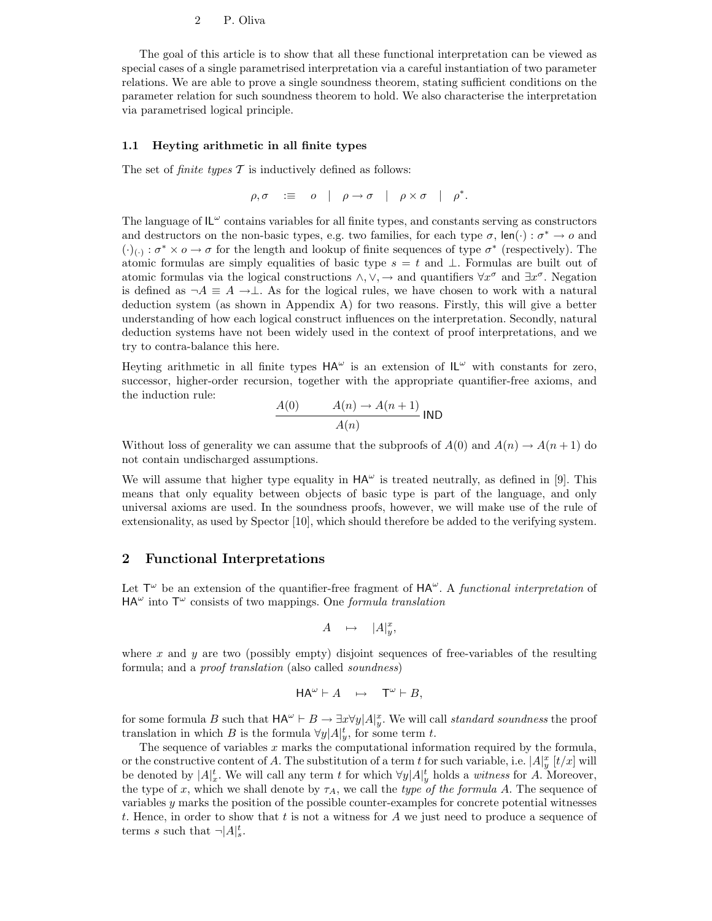The goal of this article is to show that all these functional interpretation can be viewed as special cases of a single parametrised interpretation via a careful instantiation of two parameter relations. We are able to prove a single soundness theorem, stating sufficient conditions on the parameter relation for such soundness theorem to hold. We also characterise the interpretation via parametrised logical principle.

#### 1.1 Heyting arithmetic in all finite types

The set of *finite types*  $\mathcal T$  is inductively defined as follows:

$$
\rho, \sigma \quad \mathrel{\mathop:}= \quad o \quad | \quad \rho \to \sigma \quad | \quad \rho \times \sigma \quad | \quad \rho^*.
$$

The language of  $IL^{\omega}$  contains variables for all finite types, and constants serving as constructors and destructors on the non-basic types, e.g. two families, for each type  $\sigma$ , len( $\cdot$ ) :  $\sigma^* \to o$  and  $(\cdot)_{(\cdot)} : \sigma^* \times \sigma \to \sigma$  for the length and lookup of finite sequences of type  $\sigma^*$  (respectively). The atomic formulas are simply equalities of basic type  $s = t$  and  $\perp$ . Formulas are built out of atomic formulas via the logical constructions  $\wedge$ ,  $\vee$ ,  $\rightarrow$  and quantifiers  $\forall x^{\sigma}$  and  $\exists x^{\sigma}$ . Negation is defined as  $\neg A \equiv A \rightarrow \perp$ . As for the logical rules, we have chosen to work with a natural deduction system (as shown in Appendix A) for two reasons. Firstly, this will give a better understanding of how each logical construct influences on the interpretation. Secondly, natural deduction systems have not been widely used in the context of proof interpretations, and we try to contra-balance this here.

Heyting arithmetic in all finite types  $HA^{\omega}$  is an extension of  $IL^{\omega}$  with constants for zero, successor, higher-order recursion, together with the appropriate quantifier-free axioms, and the induction rule:

$$
\frac{A(0)}{A(n)} \longrightarrow \frac{A(n+1)}{A(n)}
$$
IND

Without loss of generality we can assume that the subproofs of  $A(0)$  and  $A(n) \to A(n+1)$  do not contain undischarged assumptions.

We will assume that higher type equality in  $HA^{\omega}$  is treated neutrally, as defined in [9]. This means that only equality between objects of basic type is part of the language, and only universal axioms are used. In the soundness proofs, however, we will make use of the rule of extensionality, as used by Spector [10], which should therefore be added to the verifying system.

### 2 Functional Interpretations

Let  $\mathsf{T}^\omega$  be an extension of the quantifier-free fragment of  $\mathsf{HA}^\omega$ . A *functional interpretation* of  $HA^{\omega}$  into  $T^{\omega}$  consists of two mappings. One *formula translation* 

$$
A \quad \mapsto \quad |A|_y^x,
$$

where x and y are two (possibly empty) disjoint sequences of free-variables of the resulting formula; and a proof translation (also called soundness)

$$
\mathsf{HA}^{\omega} \vdash A \quad \mapsto \quad \mathsf{T}^{\omega} \vdash B,
$$

for some formula B such that  $HA^{\omega} \vdash B \to \exists x \forall y | A|_y^x$ . We will call standard soundness the proof translation in which B is the formula  $\forall y | A|_y^t$ , for some term t.

The sequence of variables  $x$  marks the computational information required by the formula, or the constructive content of A. The substitution of a term t for such variable, i.e.  $|A|_y^x$  [t/x] will be denoted by  $|A|_x^t$ . We will call any term t for which  $\forall y |A|_y^t$  holds a witness for A. Moreover, the type of x, which we shall denote by  $\tau_A$ , we call the type of the formula A. The sequence of variables y marks the position of the possible counter-examples for concrete potential witnesses t. Hence, in order to show that t is not a witness for  $A$  we just need to produce a sequence of terms s such that  $\neg |A|_s^t$ .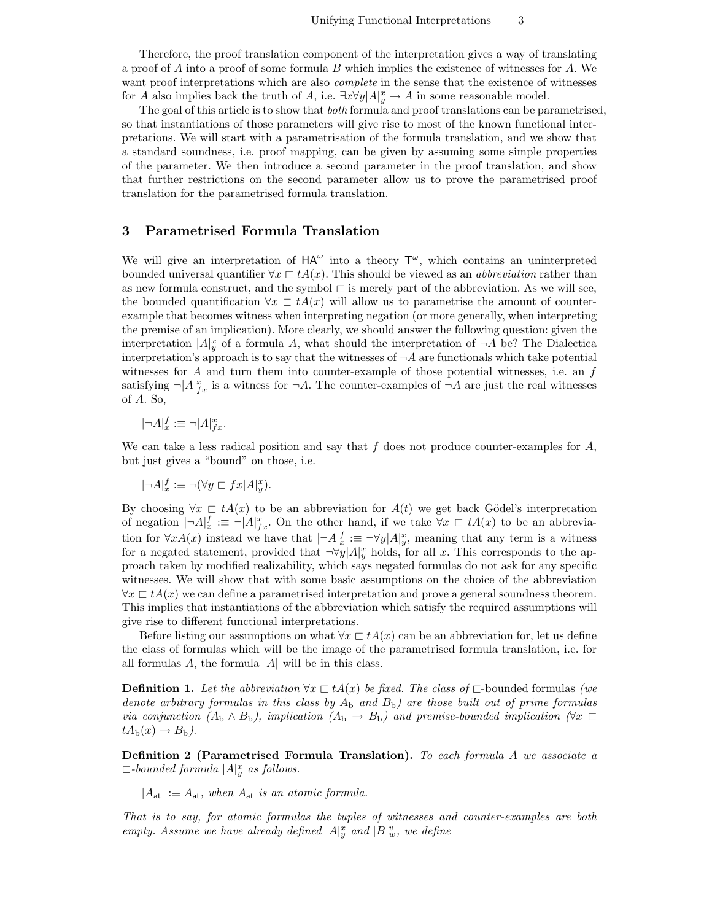Therefore, the proof translation component of the interpretation gives a way of translating a proof of  $A$  into a proof of some formula  $B$  which implies the existence of witnesses for  $A$ . We want proof interpretations which are also *complete* in the sense that the existence of witnesses for A also implies back the truth of A, i.e.  $\exists x \forall y | A|_y^x \to A$  in some reasonable model.

The goal of this article is to show that both formula and proof translations can be parametrised, so that instantiations of those parameters will give rise to most of the known functional interpretations. We will start with a parametrisation of the formula translation, and we show that a standard soundness, i.e. proof mapping, can be given by assuming some simple properties of the parameter. We then introduce a second parameter in the proof translation, and show that further restrictions on the second parameter allow us to prove the parametrised proof translation for the parametrised formula translation.

### 3 Parametrised Formula Translation

We will give an interpretation of  $HA^{\omega}$  into a theory  $T^{\omega}$ , which contains an uninterpreted bounded universal quantifier  $\forall x \sqsubset tA(x)$ . This should be viewed as an *abbreviation* rather than as new formula construct, and the symbol  $\sqsubset$  is merely part of the abbreviation. As we will see, the bounded quantification  $\forall x \in tA(x)$  will allow us to parametrise the amount of counterexample that becomes witness when interpreting negation (or more generally, when interpreting the premise of an implication). More clearly, we should answer the following question: given the interpretation  $|A|_y^x$  of a formula A, what should the interpretation of  $\neg A$  be? The Dialectica interpretation's approach is to say that the witnesses of  $\neg A$  are functionals which take potential witnesses for  $A$  and turn them into counter-example of those potential witnesses, i.e. an  $f$ satisfying  $\neg |A|_{fx}^x$  is a witness for  $\neg A$ . The counter-examples of  $\neg A$  are just the real witnesses of A. So,

$$
|\neg A|_x^f := \neg |A|_{fx}^x.
$$

We can take a less radical position and say that  $f$  does not produce counter-examples for  $A$ , but just gives a "bound" on those, i.e.

 $|\neg A|_x^f := \neg (\forall y \sqsubset fx | A|_y^x).$ 

By choosing  $\forall x \in tA(x)$  to be an abbreviation for  $A(t)$  we get back Gödel's interpretation of negation  $|\neg A|_x^f := \neg |A|_{fx}^x$ . On the other hand, if we take  $\forall x \sqsubset tA(x)$  to be an abbreviation for  $\forall x A(x)$  instead we have that  $|\neg A|_x^f := \neg \forall y |A|_y^x$ , meaning that any term is a witness for a negated statement, provided that  $\neg \forall y | A|_y^x$  holds, for all x. This corresponds to the approach taken by modified realizability, which says negated formulas do not ask for any specific witnesses. We will show that with some basic assumptions on the choice of the abbreviation  $\forall x \in tA(x)$  we can define a parametrised interpretation and prove a general soundness theorem. This implies that instantiations of the abbreviation which satisfy the required assumptions will give rise to different functional interpretations.

Before listing our assumptions on what  $\forall x \in tA(x)$  can be an abbreviation for, let us define the class of formulas which will be the image of the parametrised formula translation, i.e. for all formulas  $A$ , the formula  $|A|$  will be in this class.

**Definition 1.** Let the abbreviation  $\forall x \in tA(x)$  be fixed. The class of  $\sqsubset$ -bounded formulas (we denote arbitrary formulas in this class by  $A_b$  and  $B_b$ ) are those built out of prime formulas via conjunction  $(A_b \wedge B_b)$ , implication  $(A_b \rightarrow B_b)$  and premise-bounded implication  $(\forall x \in$  $tA_{\rm b}(x) \rightarrow B_{\rm b}$ ).

Definition 2 (Parametrised Formula Translation). To each formula A we associate a  $\Box$ -bounded formula  $|A|_y^x$  as follows.

 $|A_{\sf at}| := A_{\sf at}$ , when  $A_{\sf at}$  is an atomic formula.

That is to say, for atomic formulas the tuples of witnesses and counter-examples are both empty. Assume we have already defined  $|A|_y^x$  and  $|B|_w^v$ , we define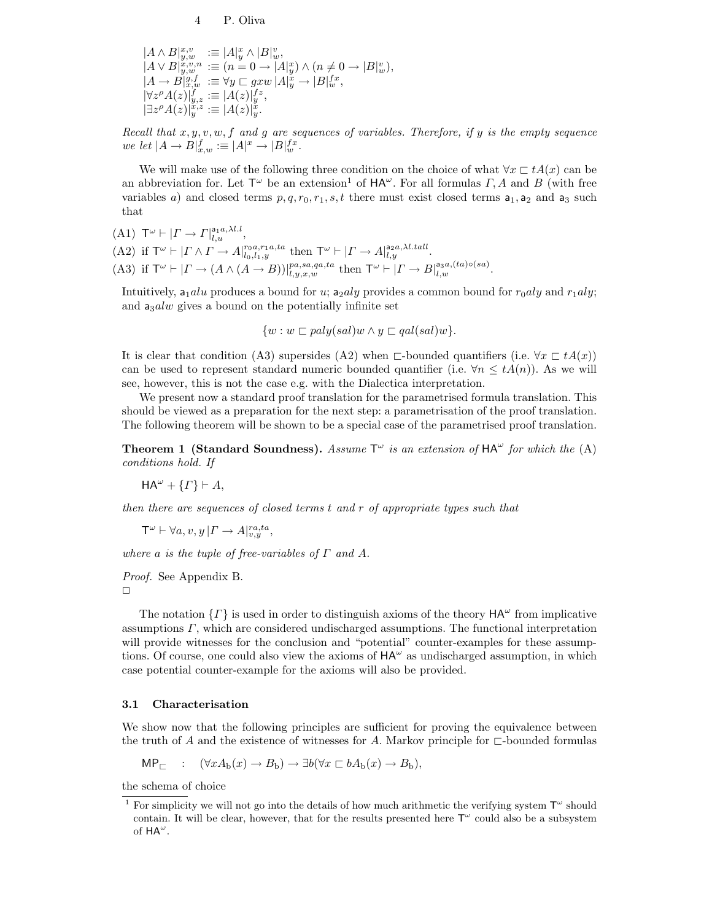$$
\begin{array}{lll} |A \wedge B|^{x,v}_{y,w} &:= |A|_y^v \wedge |B|_w^v, \\ |A \vee B|^{x,v,n}_{y,w} &:= (n=0 \rightarrow |A|_y^v) \wedge (n \neq 0 \rightarrow |B|_w^v), \\ |A \rightarrow B|_{x,w}^{g,f} &:= \forall y \sqsubset g x w \, |A|_y^x \rightarrow |B|_w^f, \\ |\forall z^{\rho} A(z)|_{y,z}^{f} &:= |A(z)|_y^{fz}, \\ |\exists z^{\rho} A(z)|_{y}^{x,z} &:= |A(z)|_y^v. \end{array}
$$

Recall that  $x, y, v, w, f$  and g are sequences of variables. Therefore, if y is the empty sequence we let  $|A \to B|_{x,w}^f := |A|^x \to |B|_w^f.$ 

We will make use of the following three condition on the choice of what  $\forall x \sqsubset tA(x)$  can be an abbreviation for. Let  $\mathsf{T}^\omega$  be an extension<sup>1</sup> of  $\mathsf{HA}^\omega$ . For all formulas  $\Gamma$ , A and B (with free variables a) and closed terms  $p, q, r_0, r_1, s, t$  there must exist closed terms  $a_1, a_2$  and  $a_3$  such that

$$
(A1) \mathsf{T}^{\omega} \vdash | \Gamma \to \Gamma |_{l,u}^{\mathsf{a}_1 a, \lambda l.l},
$$

(A2) if  $\mathsf{T}^\omega \vdash | \Gamma \wedge \Gamma \to A |_{l_0, l_1, y}^{r_0, a, r_1, a, ta}$  then  $\mathsf{T}^\omega \vdash | \Gamma \to A |_{l, y}^{a_2, a, \lambda, t, all}$ .

(A3) if  $\mathsf{T}^\omega \vdash | \Gamma \to (A \land (A \to B))|_{l,y,x,w}^{pa,sa,qa,ta}$  then  $\mathsf{T}^\omega \vdash | \Gamma \to B|_{l,w}^{a_3a,(ta)\circ(sa)}$ .

Intuitively,  $a_1$ alu produces a bound for u;  $a_2$ aly provides a common bound for  $r_0$ aly and  $r_1$ aly; and  $a_3alw$  gives a bound on the potentially infinite set

$$
\{w : w \sqsubset poly(sal)w \land y \sqsubset qal(sal)w\}.
$$

It is clear that condition (A3) supersides (A2) when  $\Box$ -bounded quantifiers (i.e.  $\forall x \Box tA(x)$ ) can be used to represent standard numeric bounded quantifier (i.e.  $\forall n \leq t A(n)$ ). As we will see, however, this is not the case e.g. with the Dialectica interpretation.

We present now a standard proof translation for the parametrised formula translation. This should be viewed as a preparation for the next step: a parametrisation of the proof translation. The following theorem will be shown to be a special case of the parametrised proof translation.

**Theorem 1 (Standard Soundness).** Assume  $T^{\omega}$  is an extension of  $HA^{\omega}$  for which the (A) conditions hold. If

$$
\mathsf{HA}^{\omega} + \{\Gamma\} \vdash A,
$$

then there are sequences of closed terms t and r of appropriate types such that

 $\mathsf{T}^{\omega} \vdash \forall a, v, y \, | \Gamma \rightarrow A |_{v, y}^{ra, ta},$ 

where a is the tuple of free-variables of  $\Gamma$  and  $A$ .

Proof. See Appendix B.

✷

The notation  $\{F\}$  is used in order to distinguish axioms of the theory  $HA^{\omega}$  from implicative assumptions Γ, which are considered undischarged assumptions. The functional interpretation will provide witnesses for the conclusion and "potential" counter-examples for these assumptions. Of course, one could also view the axioms of  $HA^{\omega}$  as undischarged assumption, in which case potential counter-example for the axioms will also be provided.

#### 3.1 Characterisation

We show now that the following principles are sufficient for proving the equivalence between the truth of A and the existence of witnesses for A. Markov principle for  $\sqsubset$ -bounded formulas

$$
\mathsf{MP}_{\sqsubset} : (\forall x A_{\mathsf{b}}(x) \to B_{\mathsf{b}}) \to \exists b (\forall x \sqsubset b A_{\mathsf{b}}(x) \to B_{\mathsf{b}}),
$$

the schema of choice

<sup>&</sup>lt;sup>1</sup> For simplicity we will not go into the details of how much arithmetic the verifying system  $T^{\omega}$  should contain. It will be clear, however, that for the results presented here  $T^{\omega}$  could also be a subsystem of  $HA^{\omega}$ .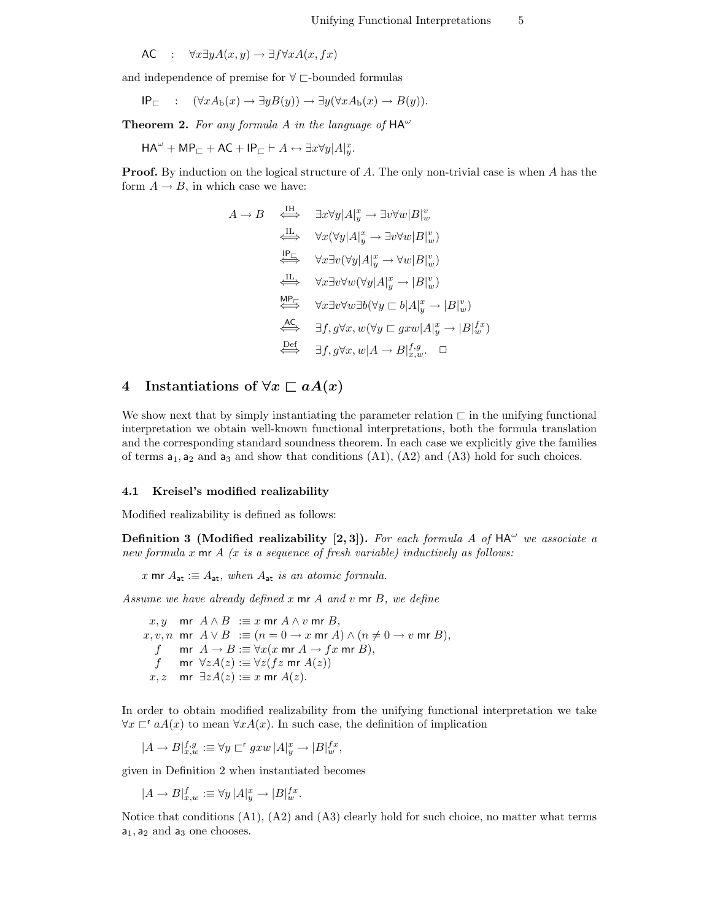$$
\mathsf{AC} \quad : \quad \forall x \exists y A(x, y) \to \exists f \forall x A(x, fx)
$$

and independence of premise for  $\forall \sqsubset$ -bounded formulas

$$
\mathsf{IP}_{\sqsubset} \quad : \quad (\forall x A_{\mathsf{b}}(x) \to \exists y B(y)) \to \exists y (\forall x A_{\mathsf{b}}(x) \to B(y)).
$$

**Theorem 2.** For any formula A in the language of  $HA^{\omega}$ 

 $HA^{\omega} + MP_{\sqsubset} + AC + IP_{\sqsubset} \vdash A \leftrightarrow \exists x \forall y | A|_y^x.$ 

**Proof.** By induction on the logical structure of A. The only non-trivial case is when A has the form  $A \rightarrow B$ , in which case we have:

$$
A \rightarrow B \quad \xleftarrow{\text{IH}} \quad \exists x \forall y | A|_y^x \rightarrow \exists v \forall w | B|_w^v
$$
\n
$$
\xrightarrow{\text{IL}} \quad \forall x (\forall y | A|_y^x \rightarrow \exists v \forall w | B|_w^v)
$$
\n
$$
\xrightarrow{\text{IP}} \quad \forall x \exists v (\forall y | A|_y^x \rightarrow \forall w | B|_w^v)
$$
\n
$$
\xrightarrow{\text{IL}} \quad \forall x \exists v \forall w (\forall y | A|_y^x \rightarrow |B|_w^v)
$$
\n
$$
\xrightarrow{\text{MP}} \quad \forall x \exists v \forall w \exists b (\forall y \sqsubset b | A|_y^x \rightarrow |B|_w^v)
$$
\n
$$
\xrightarrow{\text{AC}} \quad \exists f, g \forall x, w (\forall y \sqsubset g x w | A|_y^x \rightarrow |B|_w^f)
$$
\n
$$
\xrightarrow{\text{Def}} \quad \exists f, g \forall x, w | A \rightarrow B|_{x,w}^{f,g}.\quad \Box
$$

# 4 Instantiations of  $\forall x \sqsubset aA(x)$

We show next that by simply instantiating the parameter relation  $\sqsubset$  in the unifying functional interpretation we obtain well-known functional interpretations, both the formula translation and the corresponding standard soundness theorem. In each case we explicitly give the families of terms  $a_1, a_2$  and  $a_3$  and show that conditions  $(A1), (A2)$  and  $(A3)$  hold for such choices.

#### 4.1 Kreisel's modified realizability

Modified realizability is defined as follows:

**Definition 3** (Modified realizability [2, 3]). For each formula A of  $HA^{\omega}$  we associate a new formula x  $m r A$  (x is a sequence of fresh variable) inductively as follows:

x mr  $A_{at} \equiv A_{at}$ , when  $A_{at}$  is an atomic formula.

Assume we have already defined  $x$  mr  $A$  and  $v$  mr  $B$ , we define

x, y mr  $A \wedge B := x$  mr  $A \wedge v$  mr  $B$ ,  $x, v, n$  mr  $A \lor B := (n = 0 \to x \text{ mr } A) \land (n \neq 0 \to v \text{ mr } B),$ f mr  $A \to B \equiv \forall x (x \text{ mr } A \to fx \text{ mr } B),$ f mr  $\forall z A(z) := \forall z (fz \text{ mr } A(z))$ x, z mr  $\exists z A(z) := x$  mr  $A(z)$ .

In order to obtain modified realizability from the unifying functional interpretation we take  $\forall x \sqsubset^r aA(x)$  to mean  $\forall xA(x)$ . In such case, the definition of implication

 $|A \to B|_{x,w}^{f,g} \equiv \forall y \sqsubset^{r} g x w \, |A|_{y}^{x} \to |B|_{w}^{f,x},$ 

given in Definition 2 when instantiated becomes

 $|A \to B|_{x,w}^f := \forall y |A|_y^x \to |B|_w^{fx}.$ 

Notice that conditions  $(A1)$ ,  $(A2)$  and  $(A3)$  clearly hold for such choice, no matter what terms  $a_1$ ,  $a_2$  and  $a_3$  one chooses.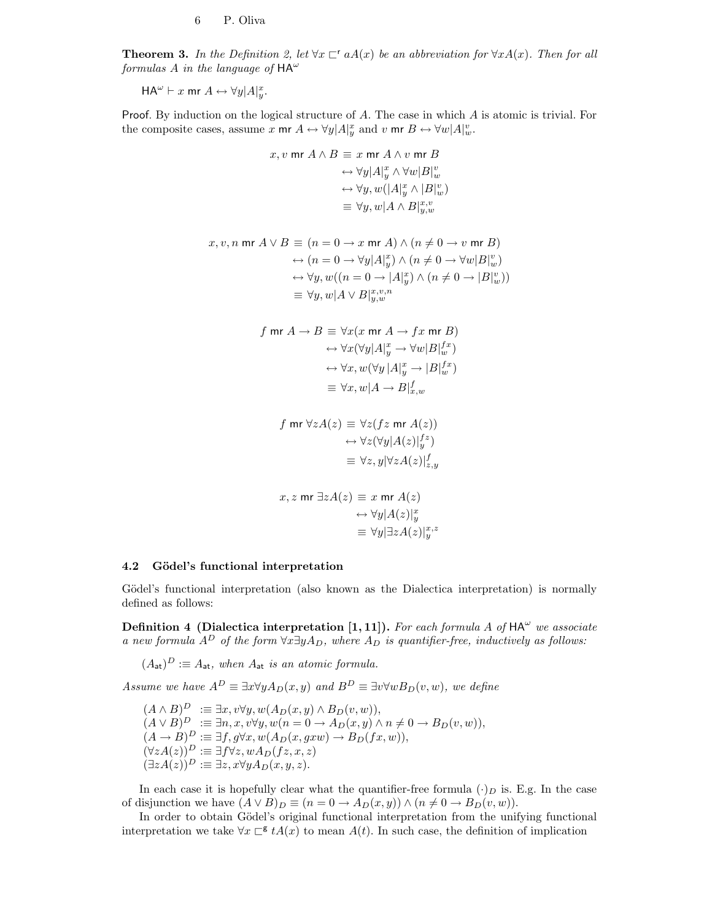**Theorem 3.** In the Definition 2, let  $\forall x \in \mathcal{A}(x)$  be an abbreviation for  $\forall x A(x)$ . Then for all formulas A in the language of  $HA^{\omega}$ 

 $HA^{\omega} \vdash x$  mr  $A \leftrightarrow \forall y | A|_y^x$ .

Proof. By induction on the logical structure of A. The case in which A is atomic is trivial. For the composite cases, assume x mr  $A \leftrightarrow \forall y | A|_y^x$  and v mr  $B \leftrightarrow \forall w | A|_w^v$ .

$$
x, v \text{ mr } A \land B \equiv x \text{ mr } A \land v \text{ mr } B
$$
  
\n
$$
\leftrightarrow \forall y | A \vert_y^x \land \forall w | B \vert_w^v
$$
  
\n
$$
\leftrightarrow \forall y, w (|A \vert_y^x \land |B \vert_w^v)
$$
  
\n
$$
\equiv \forall y, w | A \land B \vert_{y,w}^{x,v}
$$

$$
x, v, n \text{ mr } A \vee B \equiv (n = 0 \to x \text{ mr } A) \wedge (n \neq 0 \to v \text{ mr } B)
$$
  
\n
$$
\leftrightarrow (n = 0 \to \forall y | A|_y^x) \wedge (n \neq 0 \to \forall w | B|_w^v)
$$
  
\n
$$
\leftrightarrow \forall y, w((n = 0 \to |A|_y^x) \wedge (n \neq 0 \to |B|_w^v))
$$
  
\n
$$
\equiv \forall y, w | A \vee B|_{y,w}^{x,v,n}
$$

$$
\begin{aligned} f \text{ mr } A &\rightarrow B \equiv \forall x (x \text{ mr } A \rightarrow fx \text{ mr } B) \\ &\leftrightarrow \forall x (\forall y | A|^x_y \rightarrow \forall w | B|^{\,tx}_{w}) \\ &\leftrightarrow \forall x, w (\forall y | A|^x_y \rightarrow | B|^{\,tx}_{w}) \\ &\equiv \forall x, w | A \rightarrow B|^f_{x,w} \end{aligned}
$$

$$
f \text{ mr } \forall z A(z) \equiv \forall z (f z \text{ mr } A(z))
$$

$$
\leftrightarrow \forall z (\forall y | A(z)|_{y}^{f z})
$$

$$
\equiv \forall z, y | \forall z A(z)|_{z,y}^{f}
$$

$$
x, z \text{ mr } \exists z A(z) \equiv x \text{ mr } A(z)
$$

$$
\leftrightarrow \forall y |A(z)|_y^x
$$

$$
\equiv \forall y |\exists z A(z)|_y^{x,z}
$$

#### 4.2 Gödel's functional interpretation

Gödel's functional interpretation (also known as the Dialectica interpretation) is normally defined as follows:

Definition 4 (Dialectica interpretation [1, 11]). For each formula A of  $HA^{\omega}$  we associate a new formula  $A^D$  of the form  $\forall x \exists y A_D$ , where  $A_D$  is quantifier-free, inductively as follows:

 $(A_{\mathsf{at}})^D := A_{\mathsf{at}}$ , when  $A_{\mathsf{at}}$  is an atomic formula.

Assume we have  $A^D \equiv \exists x \forall y A_D(x, y)$  and  $B^D \equiv \exists v \forall w B_D(v, w)$ , we define

 $(A \wedge B)^D \ \ \colon \equiv \exists x, v \forall y, w(A_D(x, y) \wedge B_D(v, w)),$  $(A \vee B)^D \ \ \mathcal{F} \ \ \mathcal{F} \equiv \exists n, x, v \forall y, w(n = 0 \rightarrow A_D(x, y) \land n \neq 0 \rightarrow B_D(v, w)),$  $(A \rightarrow B)^D := \exists f, g \forall x, w(A_D(x, g x w) \rightarrow B_D(f x, w)),$  $(\forall z A(z))^D := \exists f \forall z, w A_D(fz, x, z)$  $(\exists z A(z))^D := \exists z, x \forall y A_D(x, y, z).$ 

In each case it is hopefully clear what the quantifier-free formula  $(\cdot)_D$  is. E.g. In the case of disjunction we have  $(A \vee B)_D \equiv (n = 0 \rightarrow A_D(x, y)) \wedge (n \neq 0 \rightarrow B_D(v, w)).$ 

In order to obtain Gödel's original functional interpretation from the unifying functional interpretation we take  $\forall x \sqsubset^{\mathsf{g}} t A(x)$  to mean  $A(t)$ . In such case, the definition of implication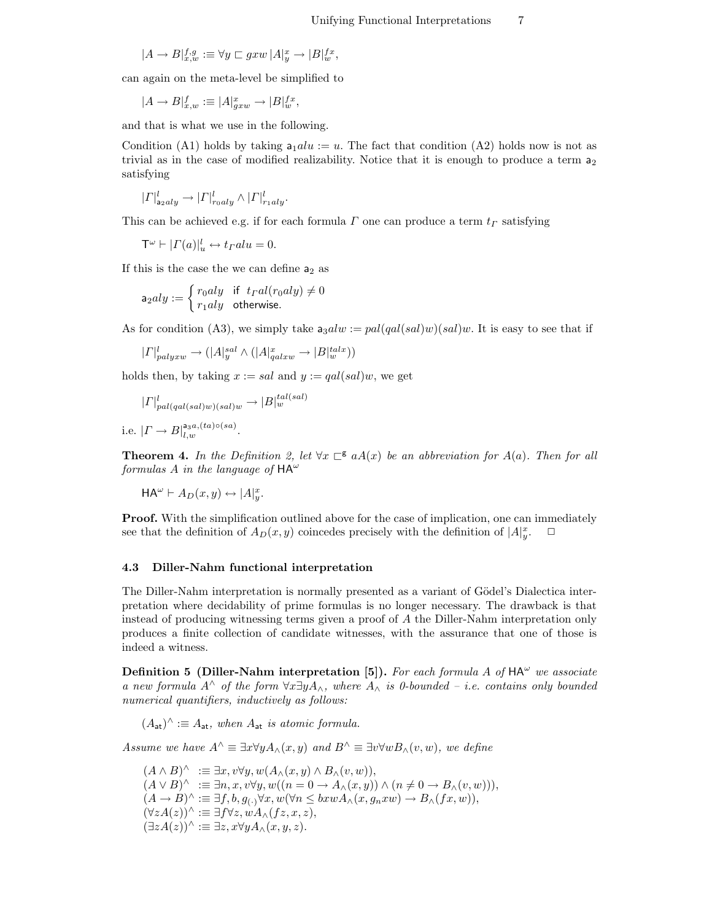$$
|A \to B|_{x,w}^{f,g} := \forall y \sqsubset g x w \, |A|_y^x \to |B|_w^{f x},
$$

can again on the meta-level be simplified to

$$
|A \to B|_{x,w}^f := |A|_{g x w}^x \to |B|_{w}^{f x},
$$

and that is what we use in the following.

Condition (A1) holds by taking  $a_1alu := u$ . The fact that condition (A2) holds now is not as trivial as in the case of modified realizability. Notice that it is enough to produce a term  $a_2$ satisfying

$$
|\Gamma|_{\mathsf{a}_2aly}^l \to |\Gamma|_{r_0aly}^l \wedge |\Gamma|_{r_1aly}^l.
$$

This can be achieved e.g. if for each formula  $\Gamma$  one can produce a term  $t_{\Gamma}$  satisfying

 $\mathsf{T}^\omega \vdash |\Gamma(a)|_u^l \leftrightarrow t_{\Gamma} alu = 0.$ 

If this is the case the we can define  $a_2$  as

$$
\mathsf{a}_2aly := \left\{ \begin{matrix} r_0aly & \text{if } t_{I}al(r_0aly) \neq 0 \\ r_1aly & \text{otherwise.} \end{matrix} \right.
$$

As for condition (A3), we simply take  $a_3alw := pal(gal(sal)w)(sal)w$ . It is easy to see that if

$$
|\varGamma|^l_{palyxw} \to (|\varLambda|^{sal}_y \wedge (|\varLambda|^{x}_{qalxw} \to |\varDelta|^{tals}_w))
$$

holds then, by taking  $x := sal$  and  $y := gal(sal)w$ , we get

$$
|\Gamma|_{pal(qal(sal)w)(sal)w}^{l} \to |B|_{w}^{tal(sal)}
$$

i.e.  $|\Gamma \to B|_{l,w}^{\mathsf{a}_{3}a,(ta)\circ (sa)}$ .

**Theorem 4.** In the Definition 2, let  $\forall x \in A(x)$  be an abbreviation for A(a). Then for all formulas A in the language of  $HA^{\omega}$ 

 $HA^{\omega} \vdash A_D(x, y) \leftrightarrow |A|_y^x.$ 

**Proof.** With the simplification outlined above for the case of implication, one can immediately see that the definition of  $A_D(x, y)$  coincedes precisely with the definition of  $|A|_y^x$  $\Box$ 

#### 4.3 Diller-Nahm functional interpretation

The Diller-Nahm interpretation is normally presented as a variant of Gödel's Dialectica interpretation where decidability of prime formulas is no longer necessary. The drawback is that instead of producing witnessing terms given a proof of A the Diller-Nahm interpretation only produces a finite collection of candidate witnesses, with the assurance that one of those is indeed a witness.

Definition 5 (Diller-Nahm interpretation [5]). For each formula A of  $HA^{\omega}$  we associate a new formula  $A^{\wedge}$  of the form  $\forall x \exists y A_{\wedge}$ , where  $A_{\wedge}$  is 0-bounded – i.e. contains only bounded numerical quantifiers, inductively as follows:

 $(A_{\mathsf{at}})^\wedge \vcentcolon\equiv A_{\mathsf{at}}, \text{ when } A_{\mathsf{at}} \text{ is atomic formula.}$ 

Assume we have  $A^{\wedge} \equiv \exists x \forall y A_{\wedge}(x, y)$  and  $B^{\wedge} \equiv \exists v \forall w B_{\wedge}(v, w)$ , we define

 $(A \wedge B)^{\wedge} \equiv \exists x, v \forall y, w (A_{\wedge}(x, y) \wedge B_{\wedge}(v, w)),$  $(A \vee B)^{\wedge} := \exists n, x, v \forall y, w((n = 0 \rightarrow A_{\wedge}(x, y)) \wedge (n \neq 0 \rightarrow B_{\wedge}(v, w))),$  $(A \to B)^{\wedge} \coloneqq \exists f, b, g_{\langle \cdot \rangle} \forall x, w(\forall n \leq b x w A_{\wedge}(x, g_n x w) \to B_{\wedge}(fx, w)),$  $(\forall z A(z))^{\wedge} \equiv \exists f \forall z, w A_{\wedge}(f z, x, z),$  $(\exists z A(z))^{\wedge} \equiv \exists z, x \forall y A_{\wedge}(x, y, z).$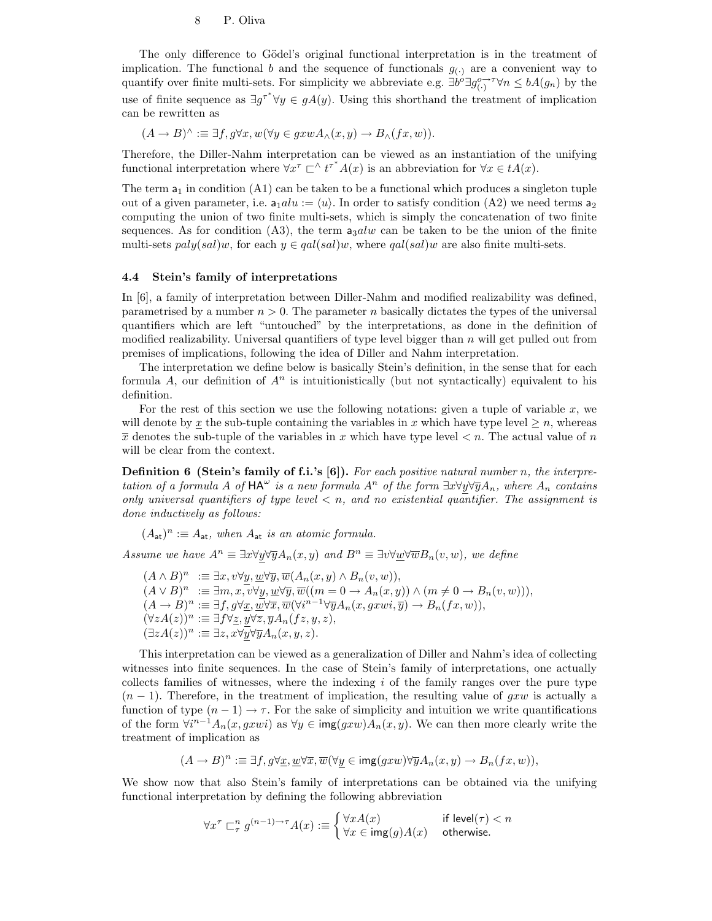The only difference to Gödel's original functional interpretation is in the treatment of implication. The functional b and the sequence of functionals  $g_{(.)}$  are a convenient way to quantify over finite multi-sets. For simplicity we abbreviate e.g.  $\exists \dot{b}^{\dot{\alpha}} \exists g^{o\rightarrow\tau}_{(\cdot)} \forall n \leq bA(g_n)$  by the use of finite sequence as  $\exists g^{\tau^*} \forall y \in gA(y)$ . Using this shorthand the treatment of implication can be rewritten as

$$
(A \to B)^{\wedge} \vcentcolon\equiv \exists f, g \forall x, w (\forall y \in g x w A_{\wedge}(x, y) \to B_{\wedge}(fx, w)).
$$

Therefore, the Diller-Nahm interpretation can be viewed as an instantiation of the unifying functional interpretation where  $\forall x^{\tau} \sqsubset^{\wedge} t^{\tau^*} A(x)$  is an abbreviation for  $\forall x \in t A(x)$ .

The term  $a_1$  in condition (A1) can be taken to be a functional which produces a singleton tuple out of a given parameter, i.e.  $a_1 du := \langle u \rangle$ . In order to satisfy condition (A2) we need terms  $a_2$ computing the union of two finite multi-sets, which is simply the concatenation of two finite sequences. As for condition (A3), the term  $a_3alw$  can be taken to be the union of the finite multi-sets  $paly(sal)w$ , for each  $y \in gal(sal)w$ , where  $gal(sal)w$  are also finite multi-sets.

#### 4.4 Stein's family of interpretations

In [6], a family of interpretation between Diller-Nahm and modified realizability was defined, parametrised by a number  $n > 0$ . The parameter n basically dictates the types of the universal quantifiers which are left "untouched" by the interpretations, as done in the definition of modified realizability. Universal quantifiers of type level bigger than  $n$  will get pulled out from premises of implications, following the idea of Diller and Nahm interpretation.

The interpretation we define below is basically Stein's definition, in the sense that for each formula A, our definition of  $A^n$  is intuitionistically (but not syntactically) equivalent to his definition.

For the rest of this section we use the following notations: given a tuple of variable  $x$ , we will denote by x the sub-tuple containing the variables in x which have type level  $\geq n$ , whereas  $\overline{x}$  denotes the sub-tuple of the variables in x which have type level  $\lt n$ . The actual value of n will be clear from the context.

**Definition 6 (Stein's family of f.i.'s [6]).** For each positive natural number n, the interpretation of a formula A of  $HA^{\omega}$  is a new formula  $A^n$  of the form  $\exists x \forall y \forall \overline{y} A_n$ , where  $A_n$  contains only universal quantifiers of type level  $\lt n$ , and no existential quantifier. The assignment is done inductively as follows:

 $(A_{\mathsf{at}})^n := A_{\mathsf{at}},$  when  $A_{\mathsf{at}}$  is an atomic formula.

Assume we have  $A^n \equiv \exists x \forall y \forall \overline{y} A_n(x, y)$  and  $B^n \equiv \exists v \forall w \forall \overline{w} B_n(v, w)$ , we define

 $(A \wedge B)^n \ \ \mathrel{\mathop:}= \exists x, v \forall y, \underline{w} \forall \overline{y}, \overline{w}(A_n(x, y) \wedge B_n(v, w)),$  $(A \vee B)^n \ \ \mathrel{\mathop:}= \exists m, x, v \forall y, \underline{w} \forall \overline{y}, \overline{w}((m = 0 \to A_n(x, y)) \land (m \neq 0 \to B_n(v, w))),$  $(A \to B)^n := \exists f, g \forall \underline{x}, \overline{\underline{w}} \forall \overline{x}, \overline{\overline{w}} (\forall i^{n-1} \forall \overline{y} A_n(x, g x w i, \overline{y}) \to B_n(fx, w)),$  $\dot{(\forall z A(z))^n}:\equiv \exists f\forall \underline{z}, \underline{y}\forall \overline{z}, \overline{y}A_n(fz,y,z),$  $(\exists zA(z))^n := \exists z, x\forall \overline{y}\forall \overline{y}A_n(x,y,z).$ 

This interpretation can be viewed as a generalization of Diller and Nahm's idea of collecting witnesses into finite sequences. In the case of Stein's family of interpretations, one actually collects families of witnesses, where the indexing  $i$  of the family ranges over the pure type  $(n-1)$ . Therefore, in the treatment of implication, the resulting value of gxw is actually a function of type  $(n - 1) \rightarrow \tau$ . For the sake of simplicity and intuition we write quantifications of the form  $\forall i^{n-1}A_n(x,gxwi)$  as  $\forall y \in \text{img}(gxw)A_n(x,y)$ . We can then more clearly write the treatment of implication as

$$
(A \to B)^n := \exists f, g \forall \underline{x}, \underline{w} \forall \overline{x}, \overline{w} (\forall y \in \text{img}(gxw) \forall \overline{y} A_n(x, y) \to B_n(fx, w)),
$$

We show now that also Stein's family of interpretations can be obtained via the unifying functional interpretation by defining the following abbreviation

$$
\forall x^{\tau} \sqsubset_{\tau}^{n} g^{(n-1)\to\tau} A(x) := \begin{cases} \forall x A(x) & \text{if level}(\tau) < n \\ \forall x \in \text{img}(g) A(x) & \text{otherwise.} \end{cases}
$$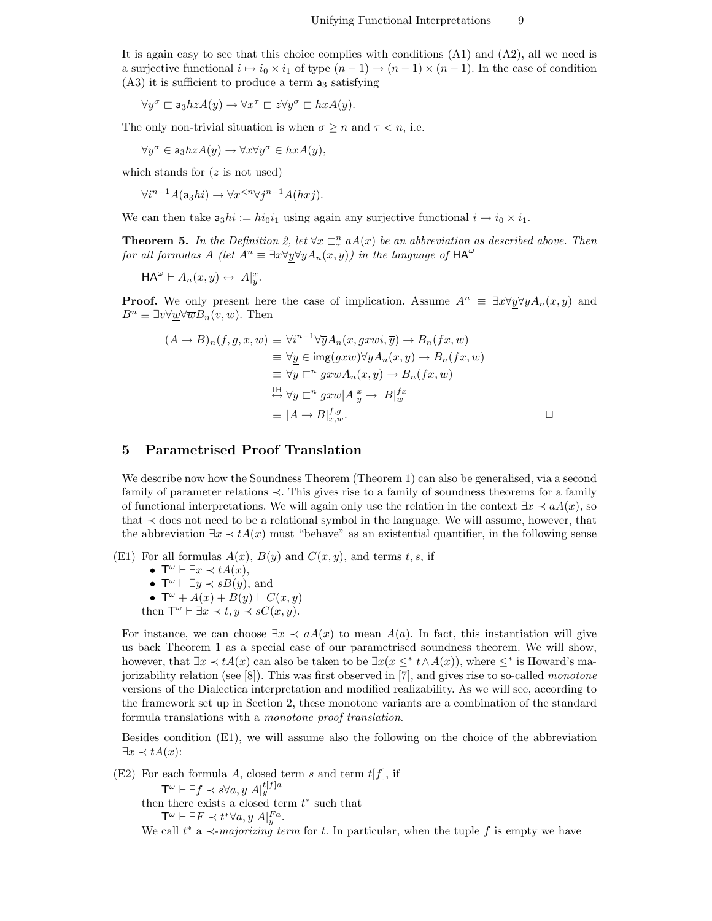It is again easy to see that this choice complies with conditions (A1) and (A2), all we need is a surjective functional  $i \mapsto i_0 \times i_1$  of type  $(n - 1) \to (n - 1) \times (n - 1)$ . In the case of condition  $(A3)$  it is sufficient to produce a term  $a_3$  satisfying

$$
\forall y^{\sigma} \sqsubset \mathsf{a}_3 h z A(y) \to \forall x^{\tau} \sqsubset z \forall y^{\sigma} \sqsubset hxA(y).
$$

The only non-trivial situation is when  $\sigma \geq n$  and  $\tau < n$ , i.e.

 $\forall y^{\sigma} \in \mathsf{a}_3 h z A(y) \rightarrow \forall x \forall y^{\sigma} \in hxA(y),$ 

which stands for  $(z \text{ is not used})$ 

 $\forall i^{n-1}A(\mathsf{a}_3hi) \rightarrow \forall x^{$ 

We can then take  $a_3hi := hi_0i_1$  using again any surjective functional  $i \mapsto i_0 \times i_1$ .

**Theorem 5.** In the Definition 2, let  $\forall x \sqsubset_{\tau}^n aA(x)$  be an abbreviation as described above. Then for all formulas A (let  $A^n \equiv \exists x \forall y \forall \overline{y} A_n(x, y)$ ) in the language of  $HA^{\omega}$ 

 $HA^{\omega} \vdash A_n(x, y) \leftrightarrow |A|_y^x.$ 

**Proof.** We only present here the case of implication. Assume  $A^n \equiv \exists x \forall y \forall \overline{y} A_n(x, y)$  and  $B^n \equiv \exists v \forall w \forall \overline{w} B_n(v, w)$ . Then

$$
(A \to B)_n(f, g, x, w) \equiv \forall i^{n-1} \forall \overline{y} A_n(x, g x w i, \overline{y}) \to B_n(fx, w)
$$
  
\n
$$
\equiv \forall \underline{y} \in \text{img}(gxw) \forall \overline{y} A_n(x, y) \to B_n(fx, w)
$$
  
\n
$$
\equiv \forall \underline{y} \sqsubset^n g x w A_n(x, y) \to B_n(fx, w)
$$
  
\n
$$
\xrightarrow{\text{IH}} \forall \underline{y} \sqsubset^n g x w |A|_y^x \to |B|_w^{fx}
$$
  
\n
$$
\equiv |A \to B|_{x, w}^{f, g}.
$$

### 5 Parametrised Proof Translation

We describe now how the Soundness Theorem (Theorem 1) can also be generalised, via a second family of parameter relations ≺. This gives rise to a family of soundness theorems for a family of functional interpretations. We will again only use the relation in the context  $\exists x \prec aA(x)$ , so that  $\prec$  does not need to be a relational symbol in the language. We will assume, however, that the abbreviation  $\exists x \prec tA(x)$  must "behave" as an existential quantifier, in the following sense

(E1) For all formulas  $A(x)$ ,  $B(y)$  and  $C(x, y)$ , and terms t, s, if

- $\mathsf{T}^{\omega} \vdash \exists x \prec tA(x),$
- $\mathsf{T}^\omega \vdash \exists y \prec sB(y)$ , and
- $\mathsf{T}^\omega + A(x) + B(y) \vdash C(x, y)$
- then  $\mathsf{T}^{\omega} \vdash \exists x \prec t, y \prec sC(x, y)$ .

For instance, we can choose  $\exists x \prec aA(x)$  to mean  $A(a)$ . In fact, this instantiation will give us back Theorem 1 as a special case of our parametrised soundness theorem. We will show, however, that  $\exists x \prec tA(x)$  can also be taken to be  $\exists x(x \leq^* t \land A(x))$ , where  $\leq^*$  is Howard's majorizability relation (see  $[8]$ ). This was first observed in  $[7]$ , and gives rise to so-called *monotone* versions of the Dialectica interpretation and modified realizability. As we will see, according to the framework set up in Section 2, these monotone variants are a combination of the standard formula translations with a monotone proof translation.

Besides condition (E1), we will assume also the following on the choice of the abbreviation  $\exists x \prec tA(x)$ :

(E2) For each formula A, closed term s and term  $t[f]$ , if  $\mathsf{T}^\omega \vdash \exists f \prec s \forall a, y | A|_y^{t [f] a}$ then there exists a closed term  $t^*$  such that  $\mathsf{T}^\omega \vdash \exists F \prec t^* \forall a, y | A |_{y}^{Fa}.$ We call  $t^*$  a  $\prec$ -majorizing term for t. In particular, when the tuple f is empty we have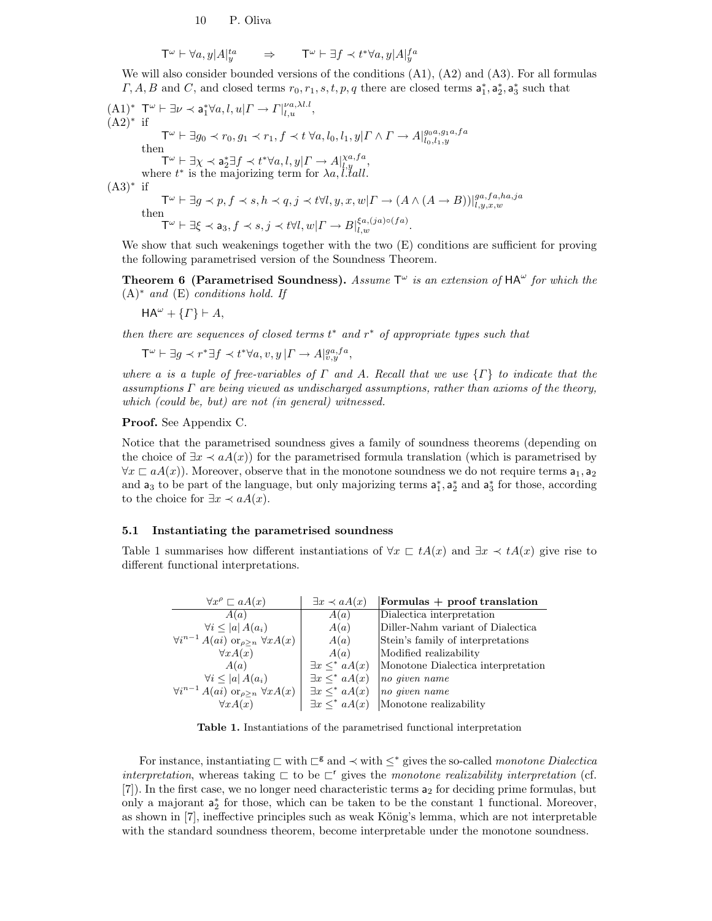$$
\mathsf{T}^{\omega} \vdash \forall a, y | A |_{y}^{ta} \qquad \Rightarrow \qquad \mathsf{T}^{\omega} \vdash \exists f \prec t^* \forall a, y | A |_{y}^{fa}
$$

We will also consider bounded versions of the conditions  $(A1)$ ,  $(A2)$  and  $(A3)$ . For all formulas  $\Gamma$ , A, B and C, and closed terms  $r_0, r_1, s, t, p, q$  there are closed terms  $a_1^*, a_2^*, a_3^*$  such that

 $(A1)^*$  T<sup> $\omega$ </sup>  $\vdash \exists \nu \prec a_1^* \forall a, l, u \vert \Gamma \rightarrow \Gamma \vert_{l,u}^{\nu a, \lambda l.l},$  $(A2)^*$  if  $\mathsf{T}^\omega \vdash \exists g_0 \prec r_0, g_1 \prec r_1, f \prec t \; \forall a, l_0, l_1, y | \Gamma \wedge \Gamma \rightarrow A |_{l_0, l_1, y}^{g_0, a, g_1, a, fa}$ then  $\mathsf{T}^\omega \vdash \exists \chi \prec \mathsf{a}_2^* \exists f \prec t^* \forall a, l, y | \Gamma \rightarrow A |^{\chi a, fa}_{l,y},$ where  $t^*$  is the majorizing term for  $\lambda a, l' \tilde{t} all$ .  $(A3)*$  if  $\mathsf{T}^{\omega} \vdash \exists g \prec p, f \prec s, h \prec q, j \prec t \forall l, y, x, w | \Gamma \rightarrow (A \land (A \rightarrow B)) |_{l, y, x, w}^{ga, fa, ha, ja}$ <br>then  $\mathsf{T}^\omega \vdash \exists \xi \prec \mathsf{a}_3, f \prec s, j \prec t \forall l, w | \mathnormal{\Gamma} \rightarrow B|_{l,w}^{\xi a, (ja) \circ (fa)}.$ 

We show that such weakenings together with the two  $(E)$  conditions are sufficient for proving the following parametrised version of the Soundness Theorem.

**Theorem 6 (Parametrised Soundness).** Assume  $T^{\omega}$  is an extension of  $HA^{\omega}$  for which the  $(A)$ <sup>\*</sup> and  $(E)$  conditions hold. If

$$
\mathsf{HA}^{\omega} + \{\Gamma\} \vdash A,
$$

then there are sequences of closed terms  $t^*$  and  $r^*$  of appropriate types such that

 $\mathsf{T}^\omega \vdash \exists g \prec r^* \exists f \prec t^* \forall a, v, y \, |\Gamma \rightarrow A|^{ga, fa}_{v, y},$ 

where a is a tuple of free-variables of  $\Gamma$  and A. Recall that we use  $\{\Gamma\}$  to indicate that the assumptions  $\Gamma$  are being viewed as undischarged assumptions, rather than axioms of the theory, which (could be, but) are not (in general) witnessed.

#### Proof. See Appendix C.

Notice that the parametrised soundness gives a family of soundness theorems (depending on the choice of  $\exists x \prec aA(x)$  for the parametrised formula translation (which is parametrised by  $\forall x \sqsubset aA(x)$ ). Moreover, observe that in the monotone soundness we do not require terms  $a_1, a_2$ and  $a_3$  to be part of the language, but only majorizing terms  $a_1^*$ ,  $a_2^*$  and  $a_3^*$  for those, according to the choice for  $\exists x \prec aA(x)$ .

#### 5.1 Instantiating the parametrised soundness

Table 1 summarises how different instantiations of  $\forall x \in tA(x)$  and  $\exists x \prec tA(x)$  give rise to different functional interpretations.

| $\forall x^{\rho} \sqsubset aA(x)$                            | $\exists x \prec aA(x)$  | Formulas $+$ proof translation     |
|---------------------------------------------------------------|--------------------------|------------------------------------|
| A(a)                                                          | A(a)                     | Dialectica interpretation          |
| $\forall i \leq  a  A(a_i)$                                   | A(a)                     | Diller-Nahm variant of Dialectica  |
| $\forall i^{n-1} A(ai) \text{ or }_{\rho > n} \forall x A(x)$ | A(a)                     | Stein's family of interpretations  |
| $\forall x A(x)$                                              | A(a)                     | Modified realizability             |
| A(a)                                                          | $\exists x \leq^* aA(x)$ | Monotone Dialectica interpretation |
| $\forall i \leq  a  A(a_i)$                                   | $\exists x \leq^* aA(x)$ | no given name                      |
| $\forall i^{n-1} A(ai) \text{ or }_{\rho>n} \forall x A(x)$   | $\exists x \leq^* aA(x)$ | no given name                      |
| $\forall x A(x)$                                              | $\exists x \leq^* aA(x)$ | Monotone realizability             |

Table 1. Instantiations of the parametrised functional interpretation

For instance, instantiating  $\sqsubset$  with  $\sqsubset^g$  and  $\prec$  with  $\leq^*$  gives the so-called monotone Dialectica interpretation, whereas taking  $\sqsubset$  to be  $\sqsubset^r$  gives the monotone realizability interpretation (cf. [7]). In the first case, we no longer need characteristic terms a<sup>2</sup> for deciding prime formulas, but only a majorant  $a_2^*$  for those, which can be taken to be the constant 1 functional. Moreover, as shown in  $[7]$ , ineffective principles such as weak König's lemma, which are not interpretable with the standard soundness theorem, become interpretable under the monotone soundness.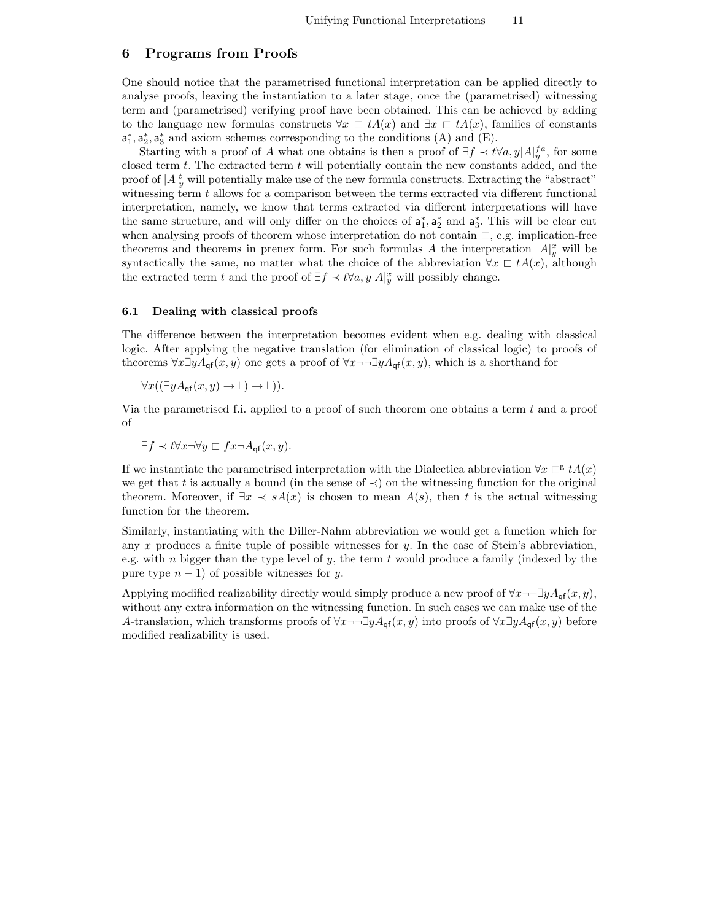# 6 Programs from Proofs

One should notice that the parametrised functional interpretation can be applied directly to analyse proofs, leaving the instantiation to a later stage, once the (parametrised) witnessing term and (parametrised) verifying proof have been obtained. This can be achieved by adding to the language new formulas constructs  $\forall x \in tA(x)$  and  $\exists x \in tA(x)$ , families of constants  $a_1^*, a_2^*, a_3^*$  and axiom schemes corresponding to the conditions (A) and (E).

Starting with a proof of A what one obtains is then a proof of  $\exists f \prec t \forall a, y | A|_y^{fa}$ , for some closed term  $t$ . The extracted term  $t$  will potentially contain the new constants added, and the proof of  $|A|_y^t$  will potentially make use of the new formula constructs. Extracting the "abstract" witnessing term  $t$  allows for a comparison between the terms extracted via different functional interpretation, namely, we know that terms extracted via different interpretations will have the same structure, and will only differ on the choices of  $a_1^*, a_2^*$  and  $a_3^*$ . This will be clear cut when analysing proofs of theorem whose interpretation do not contain  $\sqsubset$ , e.g. implication-free theorems and theorems in prenex form. For such formulas A the interpretation  $|A|_y^x$  will be syntactically the same, no matter what the choice of the abbreviation  $\forall x \in tA(x)$ , although the extracted term t and the proof of  $\exists f \prec t \forall a, y | A|_y^x$  will possibly change.

#### 6.1 Dealing with classical proofs

The difference between the interpretation becomes evident when e.g. dealing with classical logic. After applying the negative translation (for elimination of classical logic) to proofs of theorems  $\forall x \exists y A_{\text{of}}(x, y)$  one gets a proof of  $\forall x \neg \neg \exists y A_{\text{of}}(x, y)$ , which is a shorthand for

$$
\forall x ((\exists y A_{\mathsf{q} \mathsf{f}}(x, y) \to \bot) \to \bot)).
$$

Via the parametrised f.i. applied to a proof of such theorem one obtains a term  $t$  and a proof of

$$
\exists f \prec t \forall x \neg \forall y \sqsubset fx \neg A_{\mathsf{qf}}(x, y).
$$

If we instantiate the parametrised interpretation with the Dialectica abbreviation  $\forall x \in R^* A(x)$ we get that t is actually a bound (in the sense of  $\prec$ ) on the witnessing function for the original theorem. Moreover, if  $\exists x \prec sA(x)$  is chosen to mean  $A(s)$ , then t is the actual witnessing function for the theorem.

Similarly, instantiating with the Diller-Nahm abbreviation we would get a function which for any x produces a finite tuple of possible witnesses for y. In the case of Stein's abbreviation, e.g. with n bigger than the type level of y, the term t would produce a family (indexed by the pure type  $n - 1$ ) of possible witnesses for y.

Applying modified realizability directly would simply produce a new proof of  $\forall x \neg \exists y A_{\text{qf}}(x, y)$ , without any extra information on the witnessing function. In such cases we can make use of the A-translation, which transforms proofs of  $\forall x \neg \neg \exists y A_{\text{cf}}(x, y)$  into proofs of  $\forall x \exists y A_{\text{cf}}(x, y)$  before modified realizability is used.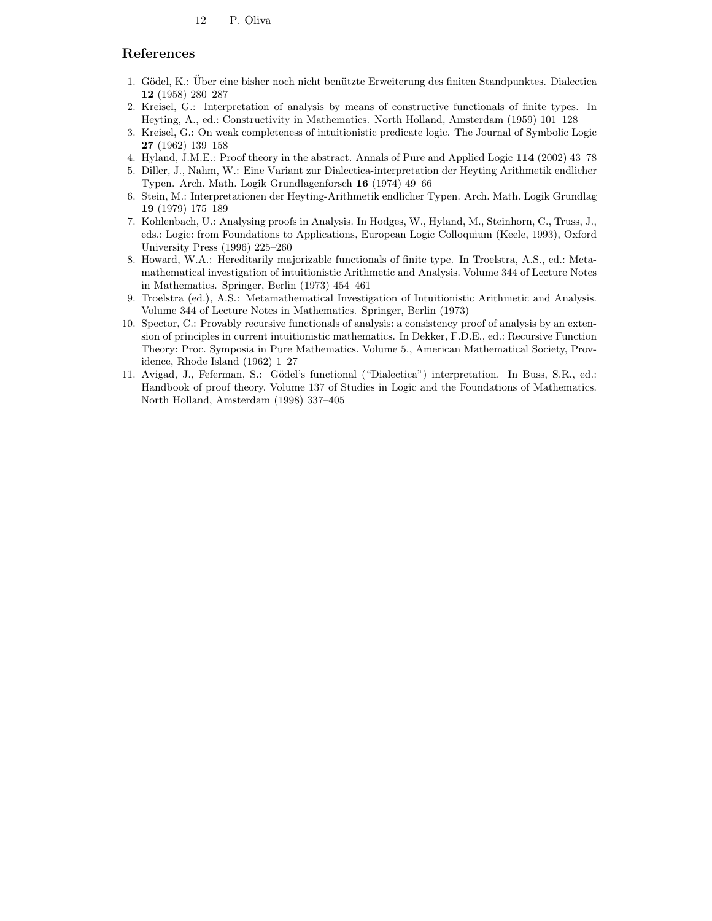### References

- 1. Gödel, K.: Über eine bisher noch nicht benützte Erweiterung des finiten Standpunktes. Dialectica 12 (1958) 280–287
- 2. Kreisel, G.: Interpretation of analysis by means of constructive functionals of finite types. In Heyting, A., ed.: Constructivity in Mathematics. North Holland, Amsterdam (1959) 101–128
- 3. Kreisel, G.: On weak completeness of intuitionistic predicate logic. The Journal of Symbolic Logic 27 (1962) 139–158
- 4. Hyland, J.M.E.: Proof theory in the abstract. Annals of Pure and Applied Logic 114 (2002) 43–78
- 5. Diller, J., Nahm, W.: Eine Variant zur Dialectica-interpretation der Heyting Arithmetik endlicher Typen. Arch. Math. Logik Grundlagenforsch 16 (1974) 49–66
- 6. Stein, M.: Interpretationen der Heyting-Arithmetik endlicher Typen. Arch. Math. Logik Grundlag 19 (1979) 175–189
- 7. Kohlenbach, U.: Analysing proofs in Analysis. In Hodges, W., Hyland, M., Steinhorn, C., Truss, J., eds.: Logic: from Foundations to Applications, European Logic Colloquium (Keele, 1993), Oxford University Press (1996) 225–260
- 8. Howard, W.A.: Hereditarily majorizable functionals of finite type. In Troelstra, A.S., ed.: Metamathematical investigation of intuitionistic Arithmetic and Analysis. Volume 344 of Lecture Notes in Mathematics. Springer, Berlin (1973) 454–461
- 9. Troelstra (ed.), A.S.: Metamathematical Investigation of Intuitionistic Arithmetic and Analysis. Volume 344 of Lecture Notes in Mathematics. Springer, Berlin (1973)
- 10. Spector, C.: Provably recursive functionals of analysis: a consistency proof of analysis by an extension of principles in current intuitionistic mathematics. In Dekker, F.D.E., ed.: Recursive Function Theory: Proc. Symposia in Pure Mathematics. Volume 5., American Mathematical Society, Providence, Rhode Island (1962) 1–27
- 11. Avigad, J., Feferman, S.: Gödel's functional ("Dialectica") interpretation. In Buss, S.R., ed.: Handbook of proof theory. Volume 137 of Studies in Logic and the Foundations of Mathematics. North Holland, Amsterdam (1998) 337–405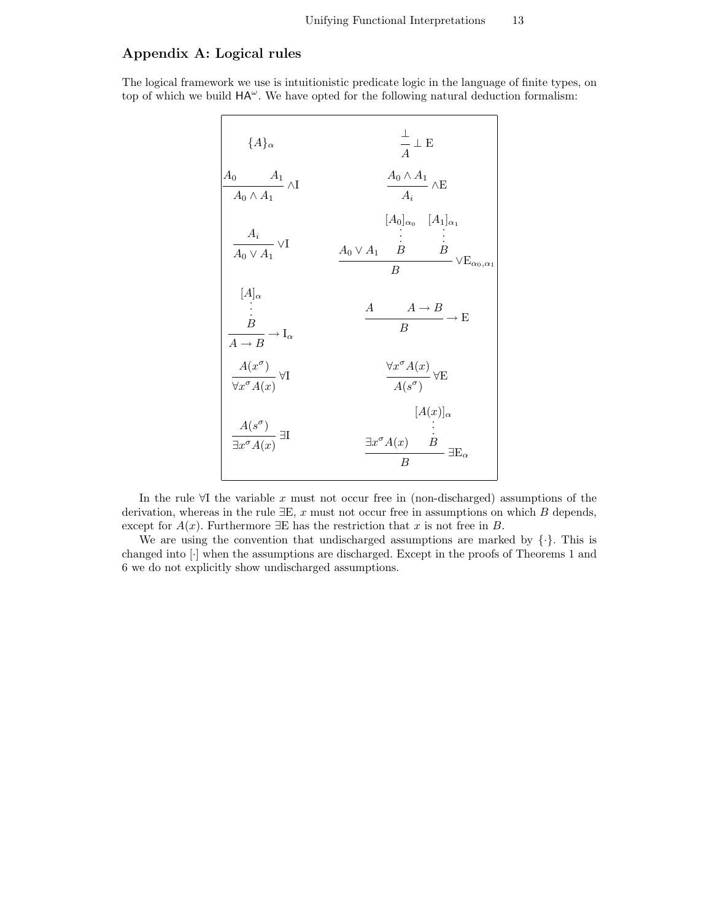# Appendix A: Logical rules

The logical framework we use is intuitionistic predicate logic in the language of finite types, on top of which we build  $HA^{\omega}$ . We have opted for the following natural deduction formalism:

| ${A}_{\alpha}$                                                                                                    | $\frac{\bot}{A} \perp E$                                                                                                                                                                                     |
|-------------------------------------------------------------------------------------------------------------------|--------------------------------------------------------------------------------------------------------------------------------------------------------------------------------------------------------------|
| $\frac{A_0 \qquad A_1}{A_0 \wedge A_1} \wedge \text{I}$                                                           | $\frac{A_0 \wedge A_1}{A_i} \wedge \mathbf{E}$                                                                                                                                                               |
| $\frac{A_i}{A_0 \vee A_1} \vee I$                                                                                 | $[A_0]_{\alpha_0}$ $[A_1]_{\alpha_1}$<br>$\begin{array}{ccccc} & . & . & . & . & . \\ & . & . & . & . & . \\ A_0 \vee A_1 & B & & B & . & . \\ & & B & & & \vee \mathrm{E}_{\alpha_0, \alpha_1} \end{array}$ |
| $\begin{array}{c} [A]_{\alpha} \\ \vdots \\ \hline B \\ \hline A \to B \end{array} \to \operatorname{I}_{\alpha}$ | $\frac{A}{B} \longrightarrow \frac{A}{B} \longrightarrow E$                                                                                                                                                  |
| $\frac{A(x^\sigma)}{\forall x^\sigma A(x)} \, \forall \mathbf{I}$                                                 | $\frac{\forall x^\sigma A(x)}{A(s^\sigma)} \, \forall \mathbf{E}$                                                                                                                                            |
| $\frac{A(s^{\sigma})}{\exists x^{\sigma} A(x)} \exists I$                                                         | $[A(x)]_{\alpha}$<br>$\frac{\exists x^{\sigma} A(x)}{B} \exists E_{\alpha}$                                                                                                                                  |

In the rule  $\forall I$  the variable x must not occur free in (non-discharged) assumptions of the derivation, whereas in the rule  $\exists E, x$  must not occur free in assumptions on which B depends, except for  $A(x)$ . Furthermore  $\exists E$  has the restriction that x is not free in B.

We are using the convention that undischarged assumptions are marked by  $\{\cdot\}$ . This is changed into [·] when the assumptions are discharged. Except in the proofs of Theorems 1 and 6 we do not explicitly show undischarged assumptions.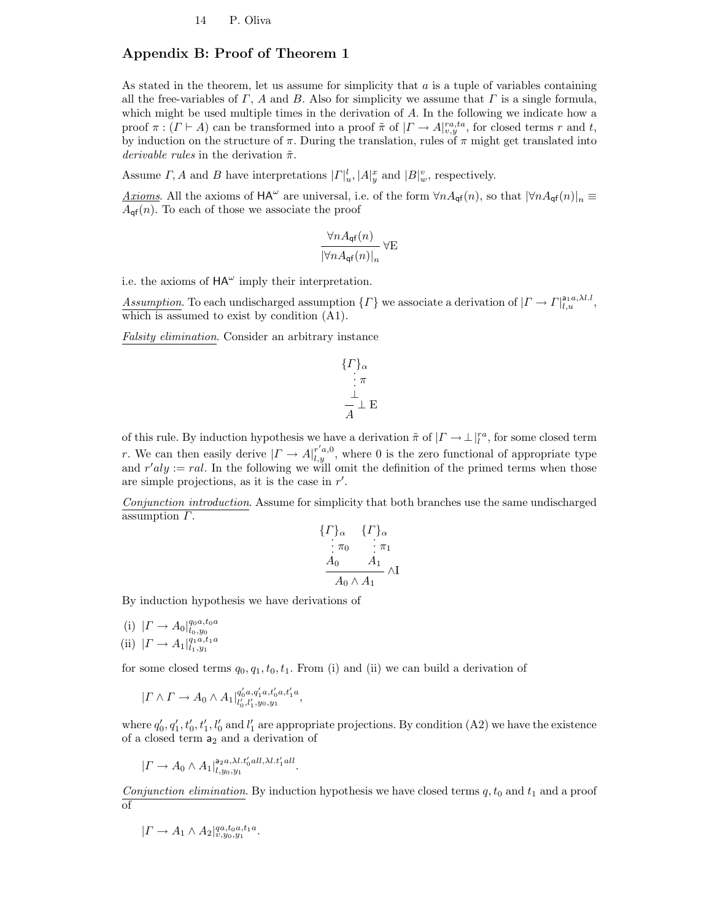# Appendix B: Proof of Theorem 1

As stated in the theorem, let us assume for simplicity that  $a$  is a tuple of variables containing all the free-variables of  $\Gamma$ , A and B. Also for simplicity we assume that  $\Gamma$  is a single formula, which might be used multiple times in the derivation of  $A$ . In the following we indicate how a proof  $\pi : (\Gamma \vdash A)$  can be transformed into a proof  $\tilde{\pi}$  of  $|\Gamma \to A|_{v,y}^{ra,ta}$ , for closed terms r and t, by induction on the structure of  $\pi$ . During the translation, rules of  $\pi$  might get translated into derivable rules in the derivation  $\tilde{\pi}$ .

Assume  $\Gamma$ , A and B have interpretations  $|\Gamma|_u^l$ ,  $|A|_y^x$  and  $|B|_w^v$ , respectively.

<u>Axioms</u>. All the axioms of  $HA^{\omega}$  are universal, i.e. of the form  $\forall nA_{\mathsf{qf}}(n)$ , so that  $|\forall nA_{\mathsf{qf}}(n)|_n \equiv$  $A_{\mathsf{qf}}(n)$ . To each of those we associate the proof

$$
\frac{\forall n A_{\mathsf{q}\mathsf{f}}(n)}{|\forall n A_{\mathsf{q}\mathsf{f}}(n)|_n} \,\forall E
$$

i.e. the axioms of  $HA^{\omega}$  imply their interpretation.

Assumption. To each undischarged assumption  $\{F\}$  we associate a derivation of  $|\Gamma \to \Gamma|_{l,u}^{\text{a}_1, a, \lambda l.l}$ , which is assumed to exist by condition (A1).

Falsity elimination. Consider an arbitrary instance

$$
\begin{array}{c}\n\{I\}_\alpha \\
\vdots \\
\pi \\
\bot \\
\pi\n\end{array}
$$

of this rule. By induction hypothesis we have a derivation  $\tilde{\pi}$  of  $|\Gamma \to \perp|_l^{ra}$ , for some closed term r. We can then easily derive  $|\Gamma \to A|_{l,y}^{r',0}$ , where 0 is the zero functional of appropriate type and  $r'aly := rel$ . In the following we will omit the definition of the primed terms when those are simple projections, as it is the case in  $r'$ .

Conjunction introduction. Assume for simplicity that both branches use the same undischarged assumption  $\Gamma$ .

$$
\begin{array}{cc}\n\{ \Gamma\}_{\alpha} & \{ \Gamma\}_{\alpha} \\
\vdots \pi_0 & \vdots \pi_1 \\
\hline\nA_0 & A_1 \\
\hline\nA_0 \wedge A_1\n\end{array}
$$

By induction hypothesis we have derivations of

(i)  $|\Gamma \to A_0|_{l_0, y_0}^{q_0 a, t_0 a}$ (ii)  $|\Gamma \to A_1|_{l_1,y_1}^{q_1a,t_1a}$ 

for some closed terms  $q_0, q_1, t_0, t_1$ . From (i) and (ii) we can build a derivation of

$$
|\Gamma \wedge \Gamma \to A_0 \wedge A_1|_{l'_0, l'_1, y_0, y_1}^{q'_0 a, q'_1 a, t'_0 a, t'_1 a},
$$

where  $q'_0, q'_1, t'_0, t'_1, l'_0$  and  $l'_1$  are appropriate projections. By condition (A2) we have the existence of a closed term  $a_2$  and a derivation of

$$
|\Gamma \to A_0 \wedge A_1|_{l,y_0,y_1}^{\mathsf{a}_{2a},\lambda l.t'_0 all,\lambda l.t'_1 all}.
$$

Conjunction elimination. By induction hypothesis we have closed terms  $q, t_0$  and  $t_1$  and a proof of

$$
|\Gamma \to A_1 \wedge A_2|_{v,y_0,y_1}^{qa,t_0a,t_1a}.
$$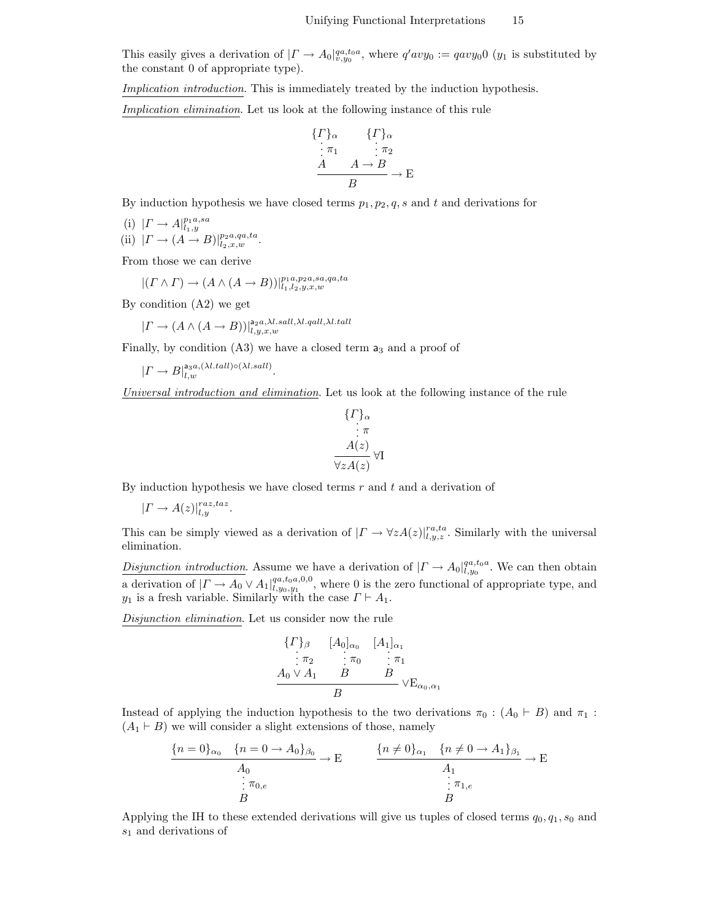This easily gives a derivation of  $|\Gamma \to A_0|_{v,y_0}^{qa,t_0a}$ , where  $q'avy_0 := qavy_00$  ( $y_1$  is substituted by the constant 0 of appropriate type).

Implication introduction. This is immediately treated by the induction hypothesis.

Implication elimination. Let us look at the following instance of this rule

$$
\begin{array}{ll}\n\{F\}_{\alpha} & \{F\}_{\alpha} \\
\vdots \pi_1 & \vdots \pi_2 \\
\hline\nA & A \to B \\
\hline\nB & \to E\n\end{array}
$$

By induction hypothesis we have closed terms  $p_1, p_2, q, s$  and t and derivations for

- (i)  $|\Gamma \to A|_{l_1,y}^{p_1a,sa}$
- (ii)  $|\Gamma \to (A \to B)|_{l_2, x, w}^{p_2, a, qa, ta}$ .

From those we can derive

$$
|(I \wedge I) \rightarrow (A \wedge (A \rightarrow B))|_{l_1, l_2, y, x, w}^{p_1 a, p_2 a, sa, qa, ta}
$$

By condition (A2) we get

$$
|\Gamma \to (A \land (A \to B))|_{l,y,x,w}^{a_2 a, \lambda l. sall, \lambda l. qall, \lambda l. tall}
$$

Finally, by condition  $(A3)$  we have a closed term  $a_3$  and a proof of

$$
|\varGamma\to B|_{l,w}^{\text{a}_{3}a,(\lambda l.tall)\circ(\lambda l.sall)}.
$$

Universal introduction and elimination. Let us look at the following instance of the rule

$$
\{T\}_{\alpha}
$$
  
\n $\vdots \pi$   
\n $A(z)$   
\n $\forall z A(z)$ 

By induction hypothesis we have closed terms  $r$  and  $t$  and a derivation of

$$
|\Gamma \to A(z)|_{l,y}^{raz, taz}.
$$

This can be simply viewed as a derivation of  $| \Gamma \to \forall z A(z) |_{l,y,z}^{r a,t a}$ . Similarly with the universal elimination.

Disjunction introduction. Assume we have a derivation of  $|\Gamma \to A_0|_{l,y_0}^{qa,t_0a}$ . We can then obtain a derivation of  $|\Gamma \to A_0 \vee A_1|_{l, y_0, y_1}^{q_a, t_0, q, 0, 0}$ , where 0 is the zero functional of appropriate type, and  $y_1$  is a fresh variable. Similarly with the case  $\Gamma \vdash A_1$ .

Disjunction elimination. Let us consider now the rule

$$
\begin{array}{ccc}\n\{F\}_{\beta} & [A_0]_{\alpha_0} & [A_1]_{\alpha_1} \\
\vdots & \pi_2 & \vdots \pi_0 & \vdots \pi_1 \\
A_0 \vee A_1 & B & B \\
B & & \vee E_{\alpha_0, \alpha_1}\n\end{array}
$$

Instead of applying the induction hypothesis to the two derivations  $\pi_0$ :  $(A_0 \vdash B)$  and  $\pi_1$ :  $(A_1 \vdash B)$  we will consider a slight extensions of those, namely

$$
\frac{\{n=0\}_{\alpha_0} \quad \{n=0 \to A_0\}_{\beta_0}}{A_0} \to E \qquad \frac{\{n \neq 0\}_{\alpha_1} \quad \{n \neq 0 \to A_1\}_{\beta_1}}{\begin{array}{c} A_1 \\ \vdots \\ B \end{array}} \to E
$$

Applying the IH to these extended derivations will give us tuples of closed terms  $q_0, q_1, s_0$  and  $s_1$  and derivations of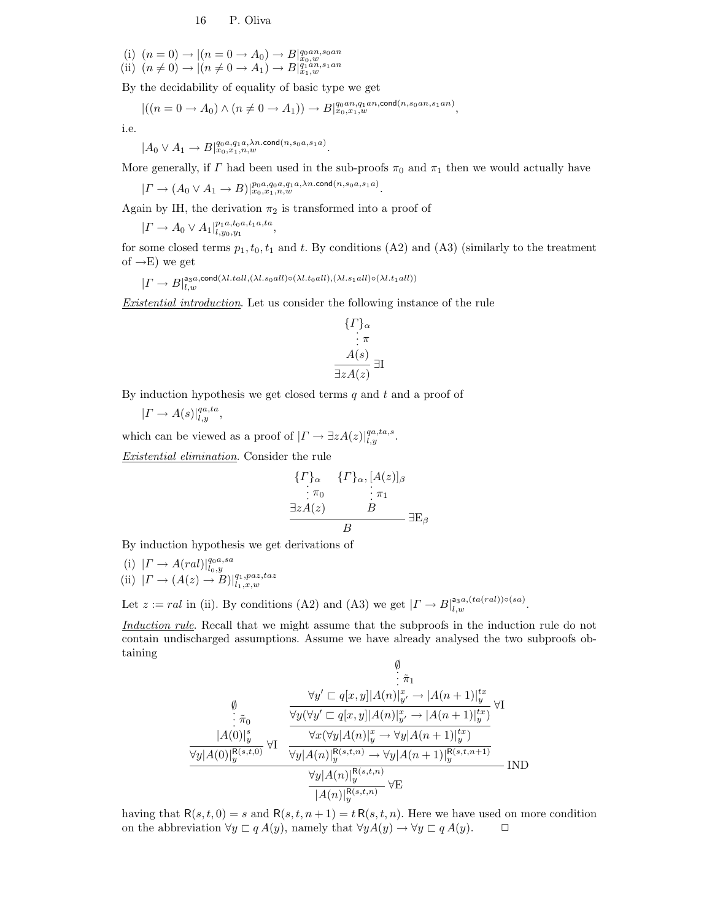(i)  $(n = 0) \rightarrow |(n = 0 \rightarrow A_0) \rightarrow B|_{x_0,w}^{q_0an,s_0an}$ <br>(ii)  $(n \neq 0) \rightarrow |(n \neq 0 \rightarrow A_1) \rightarrow B|_{x_1,w}^{q_0an,s_1an}$ 

By the decidability of equality of basic type we get

$$
|((n=0 \to A_0) \land (n \neq 0 \to A_1)) \to B|_{x_0,x_1,w}^{q_0an,q_1an,\text{cond}(n,s_0an,s_1an)},
$$

i.e.

$$
|A_0 \vee A_1 \to B|_{x_0,x_1,n,w}^{q_0a,q_1a,\lambda n.\text{cond}(n,s_0a,s_1a)}.
$$

More generally, if  $\Gamma$  had been used in the sub-proofs  $\pi_0$  and  $\pi_1$  then we would actually have

 $|\Gamma\rightarrow (A_0\vee A_1\rightarrow B)|_{x_0,x_1,n,w}^{p_0a,q_0a,q_1a,\lambda n.{\rm cond}(n,s_0a,s_1a)}.$ 

Again by IH, the derivation  $\pi_2$  is transformed into a proof of ,

$$
|\Gamma \to A_0 \vee A_1|_{l,y_0,y_1}^{p_1a,t_0a,t_1a,ta}
$$

for some closed terms  $p_1, t_0, t_1$  and t. By conditions (A2) and (A3) (similarly to the treatment of  $\rightarrow$ E) we get

$$
|\varGamma\rightarrow B|^{a_3a,\text{cond}(\lambda l.tall,(\lambda l.s_0all)\circ(\lambda l.t_0all),(\lambda l.s_1all)\circ(\lambda l.t_1all))}
$$

Existential introduction. Let us consider the following instance of the rule

$$
\{\Gamma\}_{\alpha} \n\vdots \pi \nA(s) \n\exists z A(z) \exists I
$$

By induction hypothesis we get closed terms  $q$  and  $t$  and a proof of

$$
|\Gamma \to A(s)|_{l,y}^{qa,ta},
$$

which can be viewed as a proof of  $|\Gamma \to \exists z A(z)|_{l,y}^{qa,ta,s}$ .

Existential elimination. Consider the rule

$$
\begin{array}{ccc}\n\{ \Gamma\}_{\alpha} & \{ \Gamma\}_{\alpha}, [A(z)]_{\beta} \\
\vdots \pi_0 & \vdots \pi_1 \\
\exists z A(z) & B \\
\hline\nB & & \exists E_{\beta}\n\end{array}
$$

By induction hypothesis we get derivations of

(i) 
$$
| \Gamma \to A (ral)|_{l_0,y}^{q_0a,sa}
$$
  
(ii)  $| \Gamma \to (A(z) \to B)|_{l_1,x,w}^{q_1,paz,taz}$ 

Let  $z := rad$  in (ii). By conditions (A2) and (A3) we get  $|\Gamma \to B|_{l,w}^{a_3a,(ta(ral))\circ (sa)}$ .

Induction rule. Recall that we might assume that the subproofs in the induction rule do not contain undischarged assumptions. Assume we have already analysed the two subproofs obtaining

$$
\begin{array}{c}\n\emptyset \\
\vdots \pi_1 \\
\downarrow \pi_0\n\end{array}\n\qquad\n\frac{\forall y' \sqsubset q[x, y] | A(n)|_{y'}^{x} \to |A(n+1)|_{y}^{tx}}{\forall y (\forall y' \sqsubset q[x, y] | A(n)|_{y'}^{x} \to |A(n+1)|_{y}^{tx})}\n\forall I
$$
\n
$$
\frac{|A(0)|_{y}^{s}}{\forall y | A(0)|_{y}^{R(s, t, 0)}} \forall I \quad \frac{\forall x (\forall y | A(n)|_{y}^{x} \to \forall y | A(n+1)|_{y}^{tx})}{\forall y | A(n)|_{y}^{R(s, t, n)} \to \forall y | A(n+1)|_{y}^{R(s, t, n+1)}}\n\frac{\forall y | A(n)|_{y}^{R(s, t, n)}}{|A(n)|_{y}^{R(s, t, n)}} \forall E
$$
\nIND

having that  $R(s, t, 0) = s$  and  $R(s, t, n + 1) = t R(s, t, n)$ . Here we have used on more condition on the abbreviation  $\forall y \sqsubset q A(y)$ , namely that  $\forall y A(y) \rightarrow \forall y \sqsubset q A(y)$ .  $\Box$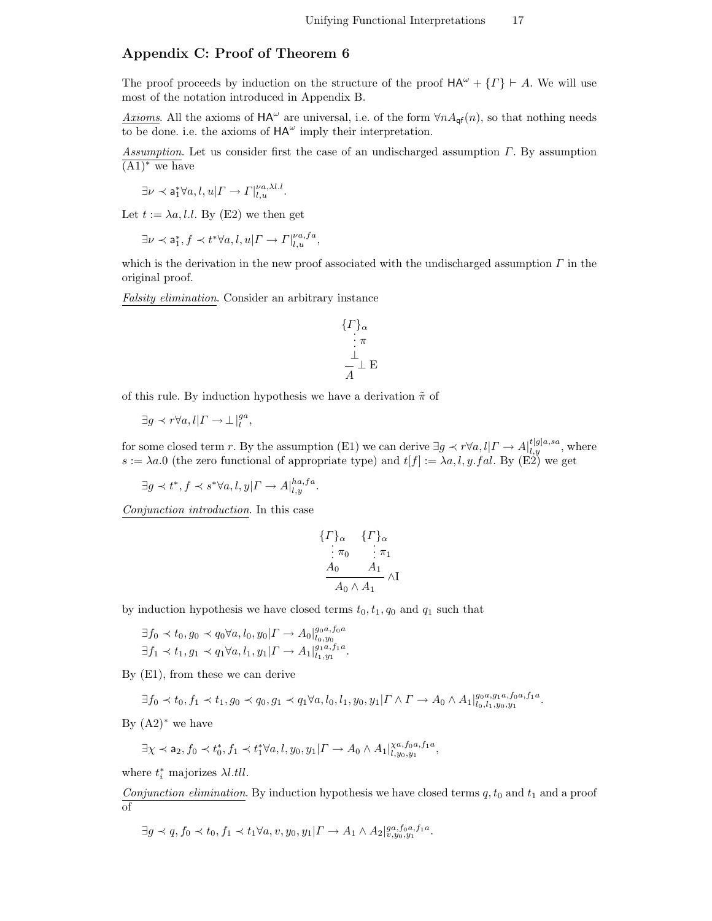# Appendix C: Proof of Theorem 6

The proof proceeds by induction on the structure of the proof  $HA^{\omega} + \{ \Gamma \} \vdash A$ . We will use most of the notation introduced in Appendix B.

<u>Axioms</u>. All the axioms of  $HA^{\omega}$  are universal, i.e. of the form  $\forall nA_{\mathsf{qf}}(n)$ , so that nothing needs to be done. i.e. the axioms of  $HA^{\omega}$  imply their interpretation.

Assumption. Let us consider first the case of an undischarged assumption  $\Gamma$ . By assumption  $(A1)$ <sup>\*</sup> we have

$$
\exists \nu \prec \mathsf{a}_1^* \forall a, l, u | \Gamma \rightarrow \Gamma \vert_{l, u}^{\nu a, \lambda l, l}.
$$

Let  $t := \lambda a, l.l.$  By (E2) we then get

$$
\exists \nu \prec \mathsf{a}_1^*, f \prec t^* \forall a, l, u | \Gamma \rightarrow \Gamma |_{l,u}^{\nu a, fa},
$$

which is the derivation in the new proof associated with the undischarged assumption  $\Gamma$  in the original proof.

Falsity elimination. Consider an arbitrary instance

$$
\begin{array}{c}\n\{ \Gamma \}_{\alpha} \\
\vdots \pi \\
\frac{\bot}{A} \perp E\n\end{array}
$$

of this rule. By induction hypothesis we have a derivation  $\tilde{\pi}$  of

$$
\exists g \prec r \forall a, l | \Gamma \rightarrow \perp|_l^{ga},
$$

for some closed term r. By the assumption (E1) we can derive  $\exists g \prec r \forall a, l \vert \Gamma \to A \vert_{l,y}^{t[g]a,sa}$ , where  $s := \lambda a.0$  (the zero functional of appropriate type) and  $t[f] := \lambda a, l, y. fal$ . By (E2) we get

$$
\exists g \prec t^*, f \prec s^* \forall a, l, y | \Gamma \rightarrow A |^{ha, fa}_{l, y}.
$$

Conjunction introduction. In this case

$$
\begin{array}{cc}\n\{ \Gamma\}_{\alpha} & \{ \Gamma\}_{\alpha} \\
\vdots \pi_0 & \vdots \pi_1 \\
\frac{A_0 & A_1}{A_0 \wedge A_1} \wedge \mathbf{I}\n\end{array}
$$

by induction hypothesis we have closed terms  $t_0, t_1, q_0$  and  $q_1$  such that

$$
\exists f_0 \prec t_0, g_0 \prec q_0 \forall a, l_0, y_0 | \Gamma \to A_0 |_{l_0, y_0}^{g_0 a, f_0 a}
$$
  

$$
\exists f_1 \prec t_1, g_1 \prec q_1 \forall a, l_1, y_1 | \Gamma \to A_1 |_{l_1, y_1}^{g_1 a, f_1 a}.
$$

By (E1), from these we can derive

$$
\exists f_0 \prec t_0, f_1 \prec t_1, g_0 \prec q_0, g_1 \prec q_1 \forall a, l_0, l_1, y_0, y_1 | \Gamma \wedge \Gamma \to A_0 \wedge A_1|_{l_0, l_1, y_0, y_1}^{g_0, a, f_1, a}.
$$

By  $(A2)^*$  we have

$$
\exists \chi \prec \mathsf{a}_2, f_0 \prec t_0^*, f_1 \prec t_1^* \forall a, l, y_0, y_1 | \Gamma \rightarrow A_0 \wedge A_1 |_{l, y_0, y_1}^{\chi a, f_0 a, f_1 a},
$$

where  $t_i^*$  majorizes  $\lambda l.$ tll.

Conjunction elimination. By induction hypothesis we have closed terms  $q, t_0$  and  $t_1$  and a proof of

$$
\exists g \prec q, f_0 \prec t_0, f_1 \prec t_1 \forall a, v, y_0, y_1 | \Gamma \rightarrow A_1 \wedge A_2 |_{v, y_0, y_1}^{ga, f_0 a, f_1 a}.
$$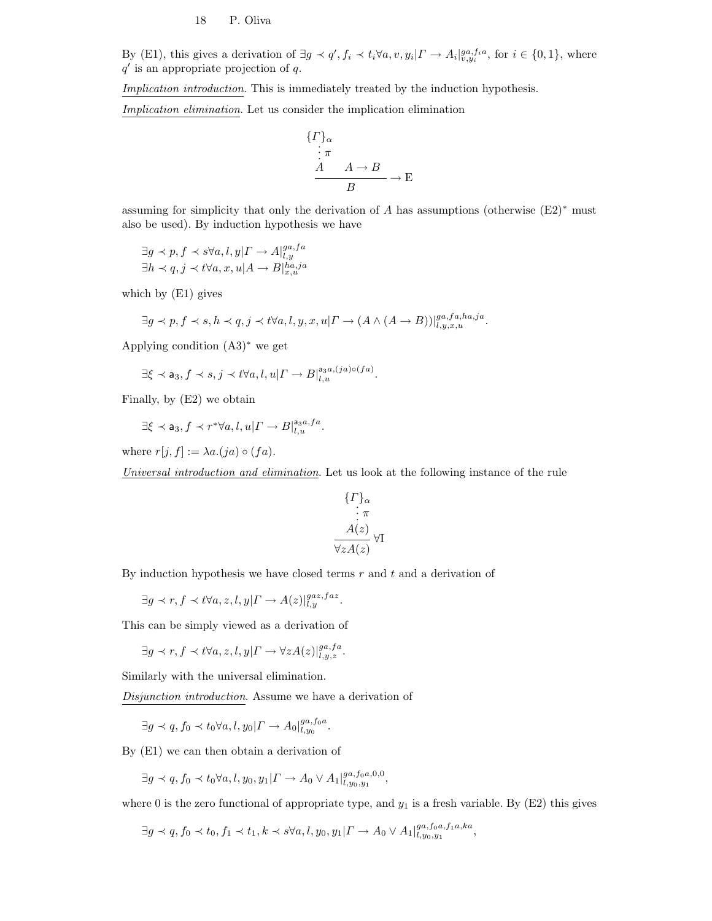By (E1), this gives a derivation of  $\exists g \prec q', f_i \prec t_i \forall a, v, y_i | \Gamma \rightarrow A_i |_{v, y_i}^{ga, f_i a}$ , for  $i \in \{0, 1\}$ , where  $q'$  is an appropriate projection of  $q$ .

Implication introduction. This is immediately treated by the induction hypothesis.

Implication elimination. Let us consider the implication elimination

$$
\begin{array}{c}\n\{I\}_\alpha \\
\vdots \pi \\
\hline\nA \quad A \to B \\
\hline\nB \quad\n\end{array} \to \mathcal{E}
$$

assuming for simplicity that only the derivation of A has assumptions (otherwise  $(E2)$ <sup>\*</sup> must also be used). By induction hypothesis we have

$$
\exists g \prec p, f \prec s \forall a, l, y | \Gamma \rightarrow A |_{l, y}^{ga, fa}
$$
  

$$
\exists h \prec q, j \prec t \forall a, x, u | A \rightarrow B |_{x, u}^{ha, ja}
$$

which by (E1) gives

$$
\exists g \prec p, f \prec s, h \prec q, j \prec t \forall a, l, y, x, u | \varGamma \rightarrow (A \land (A \rightarrow B)) |_{l, y, x, u}^{ga, fa, ha, ja}
$$

Applying condition (A3)<sup>∗</sup> we get

$$
\exists \xi \prec \mathsf{a}_3, f \prec s, j \prec t \forall a, l, u | \Gamma \rightarrow B |_{l,u}^{\mathsf{a}_3 a, (ja) \circ (fa)}.
$$

Finally, by (E2) we obtain

$$
\exists \xi \prec \mathsf{a}_3, f \prec r^* \forall a, l, u | \Gamma \rightarrow B |_{l, u}^{\mathsf{a}_3 a, f a}.
$$

where  $r[j, f] := \lambda a.(ja) \circ (fa)$ .

Universal introduction and elimination. Let us look at the following instance of the rule

$$
\{\Gamma\}_{\alpha}
$$
  
\n $\vdots \pi$   
\n $A(z)$   
\n $\forall z A(z)$ 

By induction hypothesis we have closed terms  $r$  and  $t$  and a derivation of

 $\exists g \prec r, f \prec t \forall a, z, l, y | \Gamma \rightarrow A(z)|_{l, y}^{gaz, faz}.$ 

This can be simply viewed as a derivation of

$$
\exists g \prec r, f \prec t \forall a, z, l, y | \Gamma \rightarrow \forall z A(z) |_{l, y, z}^{ga, fa}.
$$

Similarly with the universal elimination.

Disjunction introduction. Assume we have a derivation of

$$
\exists g \prec q, f_0 \prec t_0 \forall a, l, y_0 | \Gamma \rightarrow A_0 |_{l, y_0}^{ga, f_0 a}.
$$

By (E1) we can then obtain a derivation of

$$
\exists g \prec q, f_0 \prec t_0 \forall a, l, y_0, y_1 | \Gamma \to A_0 \vee A_1 |_{l, y_0, y_1}^{ga, f_0 a, 0, 0},
$$

where 0 is the zero functional of appropriate type, and  $y_1$  is a fresh variable. By (E2) this gives

$$
\exists g \prec q, f_0 \prec t_0, f_1 \prec t_1, k \prec s \forall a, l, y_0, y_1 | \Gamma \rightarrow A_0 \vee A_1 |_{l, y_0, y_1}^{ga, f_0a, f_1a, ka},
$$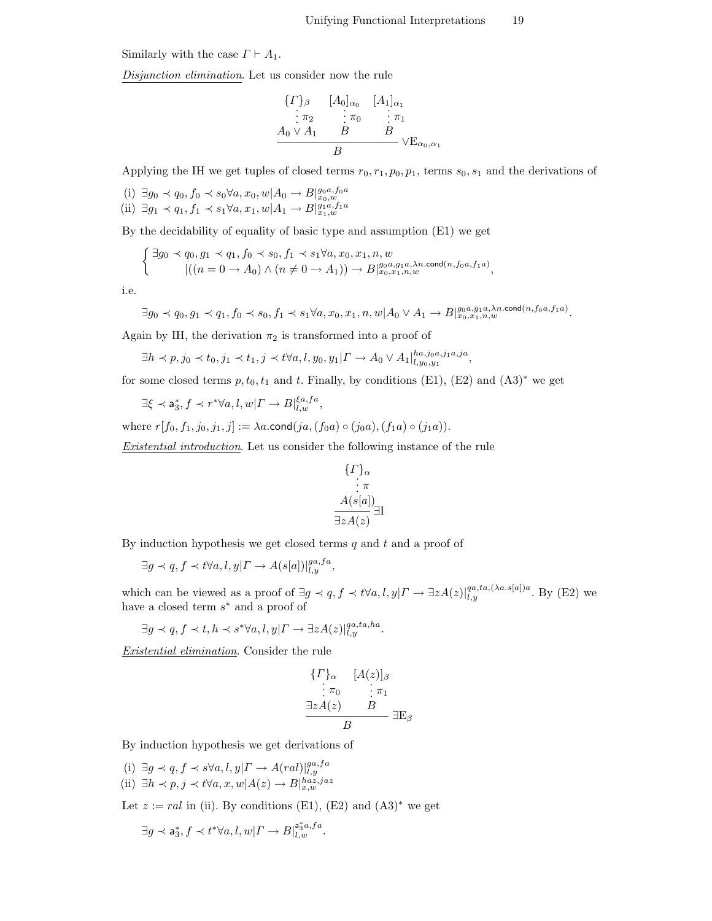Similarly with the case  $\Gamma \vdash A_1$ .

Disjunction elimination. Let us consider now the rule

$$
\begin{array}{ccc}\n\{F\}_{\beta} & [A_0]_{\alpha_0} & [A_1]_{\alpha_1} \\
\vdots & \pi_2 & \vdots \pi_0 & \vdots \pi_1 \\
A_0 \vee A_1 & B & B \\
B & & \vee E_{\alpha_0, \alpha_1}\n\end{array}
$$

Applying the IH we get tuples of closed terms  $r_0, r_1, p_0, p_1$ , terms  $s_0, s_1$  and the derivations of

(i) ∃ $g_0 \prec q_0, f_0 \prec s_0 \forall a, x_0, w | A_0 \rightarrow B |_{x_0,w}^{g_0 a, f_0 a}$ (ii) ∃ $g_1 \prec q_1, f_1 \prec s_1 \forall a, x_1, w | A_1 \rightarrow B |_{x_1,w}^{g_1a,f_1a}$ 

By the decidability of equality of basic type and assumption (E1) we get

$$
\begin{cases} \exists g_0 \prec q_0, g_1 \prec q_1, f_0 \prec s_0, f_1 \prec s_1 \forall a, x_0, x_1, n, w \\ & |((n = 0 \to A_0) \land (n \neq 0 \to A_1)) \to B|_{x_0, x_1, n, w}^{g_0, a, g_1, a, \lambda n. \text{cond}(n, f_0, a, f_1, a)}, \end{cases}
$$

i.e.

$$
\exists g_0 \prec q_0, g_1 \prec q_1, f_0 \prec s_0, f_1 \prec s_1 \forall a, x_0, x_1, n, w | A_0 \lor A_1 \to B|_{x_0, x_1, n, w}^{g_0, a, g_1, a, \lambda n, \text{cond}(n, f_0, a, f_1, a)}.
$$

Again by IH, the derivation  $\pi_2$  is transformed into a proof of

$$
\exists h \prec p, j_0 \prec t_0, j_1 \prec t_1, j \prec t \forall a, l, y_0, y_1 | \Gamma \to A_0 \vee A_1 |_{l, y_0, y_1}^{h a, j_0 a, j_1 a, j a},
$$

for some closed terms  $p, t_0, t_1$  and t. Finally, by conditions (E1), (E2) and (A3)<sup>∗</sup> we get

$$
\exists \xi \prec {\sf a}_3^*, f \prec r^* \forall a, l, w | \varGamma \rightarrow B|_{l,w}^{\xi a, fa},
$$

where  $r[f_0, f_1, j_0, j_1, j] := \lambda a$ .cond $(ja, (f_0a) \circ (j_0a), (f_1a) \circ (j_1a)).$ 

Existential introduction. Let us consider the following instance of the rule

$$
\{\Gamma\}_{\alpha} \n\vdots \pi \n A(s[a]) \n\exists z A(z)
$$

By induction hypothesis we get closed terms  $q$  and  $t$  and a proof of

$$
\exists g \prec q, f \prec t \forall a, l, y | \Gamma \rightarrow A(s[a])|_{l,y}^{ga, fa},
$$

which can be viewed as a proof of  $\exists g \prec q, f \prec t \forall a, l, y | \Gamma \rightarrow \exists z A(z)|_{l,y}^{qa,ta,(\lambda a.s[a])a}$ . By (E2) we have a closed term  $s^*$  and a proof of

$$
\exists g \prec q, f \prec t, h \prec s^* \forall a, l, y | \Gamma \to \exists z A(z) |_{l, y}^{qa, ta, ha}.
$$

Existential elimination. Consider the rule

$$
\begin{array}{cc}\n\{I\}_\alpha & [A(z)]_\beta \\
\vdots & \pi_0 & \vdots \pi_1 \\
\exists z A(z) & B \\
\hline\nB & E_\beta\n\end{array}
$$

By induction hypothesis we get derivations of

(i)  $\exists g \prec q, f \prec s \forall a, l, y | \Gamma \rightarrow A (ral) |_{l, y}^{ga, fa}$ 

(ii) 
$$
\exists h \prec p, j \prec t \forall a, x, w | A(z) \rightarrow B|_{x,w}^{haz,jaz}
$$

Let  $z := \text{ral in (ii)}$ . By conditions (E1), (E2) and  $(A3)^*$  we get

$$
\exists g \prec \mathsf{a}_3^*, f \prec t^* \forall a, l, w | \varGamma \rightarrow B|_{l,w}^{\mathsf{a}_3^* a, fa}.
$$